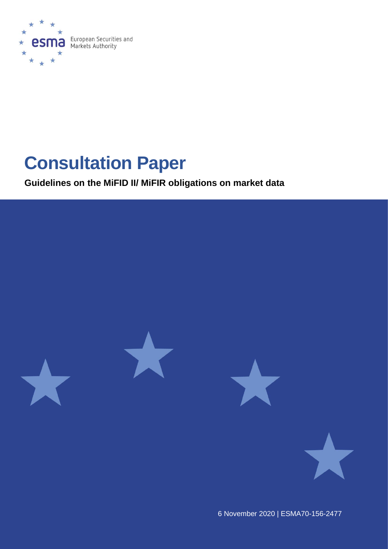

# **Consultation Paper**

**Guidelines on the MiFID II/ MiFIR obligations on market data**



6 November 2020 | ESMA70-156-2477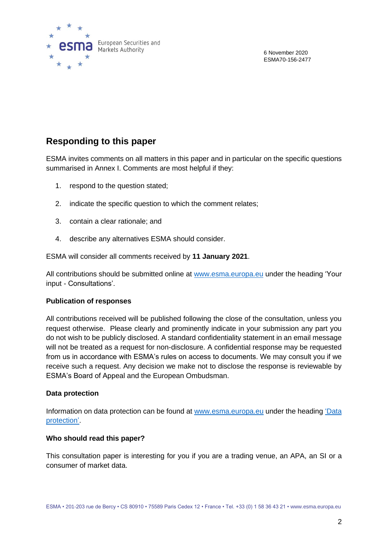

6 November 2020 ESMA70-156-2477

## **Responding to this paper**

ESMA invites comments on all matters in this paper and in particular on the specific questions summarised in Annex I. Comments are most helpful if they:

- 1. respond to the question stated;
- 2. indicate the specific question to which the comment relates;
- 3. contain a clear rationale; and
- 4. describe any alternatives ESMA should consider.

ESMA will consider all comments received by **11 January 2021**.

All contributions should be submitted online at [www.esma.europa.eu](http://www.esma.europa.eu/) under the heading 'Your input - Consultations'.

#### **Publication of responses**

All contributions received will be published following the close of the consultation, unless you request otherwise. Please clearly and prominently indicate in your submission any part you do not wish to be publicly disclosed. A standard confidentiality statement in an email message will not be treated as a request for non-disclosure. A confidential response may be requested from us in accordance with ESMA's rules on access to documents. We may consult you if we receive such a request. Any decision we make not to disclose the response is reviewable by ESMA's Board of Appeal and the European Ombudsman.

#### **Data protection**

Information on data protection can be found at [www.esma.europa.eu](http://www.esma.europa.eu/) under the heading ['Data](https://www.esma.europa.eu/about-esma/data-protection)  [protection'](https://www.esma.europa.eu/about-esma/data-protection).

#### **Who should read this paper?**

This consultation paper is interesting for you if you are a trading venue, an APA, an SI or a consumer of market data.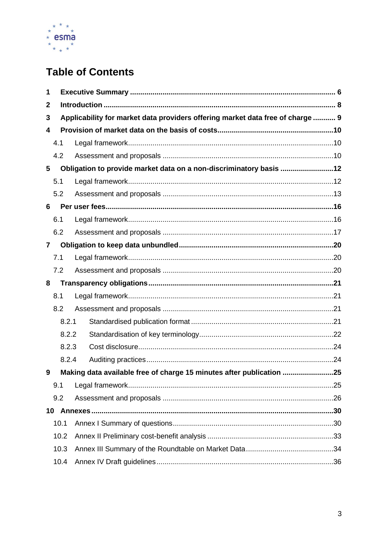

# **Table of Contents**

| 1 |       |                                                                                |  |  |
|---|-------|--------------------------------------------------------------------------------|--|--|
| 2 |       |                                                                                |  |  |
| 3 |       | Applicability for market data providers offering market data free of charge  9 |  |  |
| 4 |       |                                                                                |  |  |
|   | 4.1   |                                                                                |  |  |
|   | 4.2   |                                                                                |  |  |
| 5 |       | Obligation to provide market data on a non-discriminatory basis 12             |  |  |
|   | 5.1   |                                                                                |  |  |
|   | 5.2   |                                                                                |  |  |
| 6 |       |                                                                                |  |  |
|   | 6.1   |                                                                                |  |  |
|   | 6.2   |                                                                                |  |  |
| 7 |       |                                                                                |  |  |
|   | 7.1   |                                                                                |  |  |
|   | 7.2   |                                                                                |  |  |
| 8 |       |                                                                                |  |  |
|   | 8.1   |                                                                                |  |  |
|   | 8.2   |                                                                                |  |  |
|   | 8.2.1 |                                                                                |  |  |
|   | 8.2.2 |                                                                                |  |  |
|   | 8.2.3 |                                                                                |  |  |
|   | 8.2.4 |                                                                                |  |  |
| 9 |       | Making data available free of charge 15 minutes after publication 25           |  |  |
|   | 9.1   |                                                                                |  |  |
|   | 9.2   |                                                                                |  |  |
|   |       |                                                                                |  |  |
|   |       |                                                                                |  |  |
|   | 10.1  |                                                                                |  |  |
|   | 10.2  |                                                                                |  |  |
|   | 10.3  |                                                                                |  |  |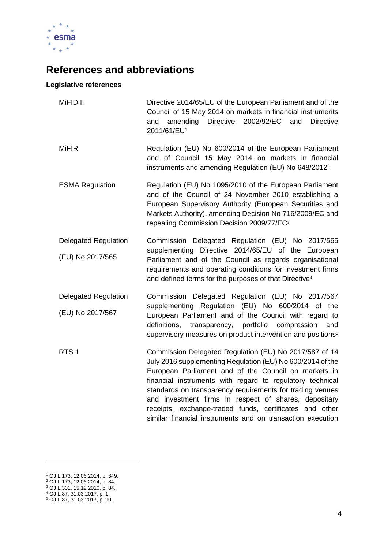

# **References and abbreviations**

#### **Legislative references**

| MiFID II                    | Directive 2014/65/EU of the European Parliament and of the<br>Council of 15 May 2014 on markets in financial instruments<br>amending<br>Directive 2002/92/EC<br>and<br>and<br><b>Directive</b><br>2011/61/EU <sup>1</sup>                                                                                                                                                                                                                                                                |
|-----------------------------|------------------------------------------------------------------------------------------------------------------------------------------------------------------------------------------------------------------------------------------------------------------------------------------------------------------------------------------------------------------------------------------------------------------------------------------------------------------------------------------|
| <b>MiFIR</b>                | Regulation (EU) No 600/2014 of the European Parliament<br>and of Council 15 May 2014 on markets in financial<br>instruments and amending Regulation (EU) No 648/2012 <sup>2</sup>                                                                                                                                                                                                                                                                                                        |
| <b>ESMA Regulation</b>      | Regulation (EU) No 1095/2010 of the European Parliament<br>and of the Council of 24 November 2010 establishing a<br>European Supervisory Authority (European Securities and<br>Markets Authority), amending Decision No 716/2009/EC and<br>repealing Commission Decision 2009/77/EC <sup>3</sup>                                                                                                                                                                                         |
| <b>Delegated Regulation</b> | Commission Delegated Regulation (EU) No 2017/565                                                                                                                                                                                                                                                                                                                                                                                                                                         |
| (EU) No 2017/565            | supplementing Directive 2014/65/EU of the European<br>Parliament and of the Council as regards organisational<br>requirements and operating conditions for investment firms<br>and defined terms for the purposes of that Directive <sup>4</sup>                                                                                                                                                                                                                                         |
| <b>Delegated Regulation</b> | Commission Delegated Regulation (EU) No 2017/567                                                                                                                                                                                                                                                                                                                                                                                                                                         |
| (EU) No 2017/567            | supplementing Regulation (EU) No 600/2014 of the<br>European Parliament and of the Council with regard to<br>definitions,<br>portfolio<br>transparency,<br>compression<br>and<br>supervisory measures on product intervention and positions <sup>5</sup>                                                                                                                                                                                                                                 |
| RTS <sub>1</sub>            | Commission Delegated Regulation (EU) No 2017/587 of 14<br>July 2016 supplementing Regulation (EU) No 600/2014 of the<br>European Parliament and of the Council on markets in<br>financial instruments with regard to regulatory technical<br>standards on transparency requirements for trading venues<br>and investment firms in respect of shares, depositary<br>receipts, exchange-traded funds, certificates and other<br>similar financial instruments and on transaction execution |

<sup>1</sup> OJ L 173, 12.06.2014, p. 349.

<sup>2</sup> OJ L 173, 12.06.2014, p. 84.

<sup>3</sup> OJ L 331, 15.12.2010, p. 84.

<sup>4</sup> OJ L 87, 31.03.2017, p. 1.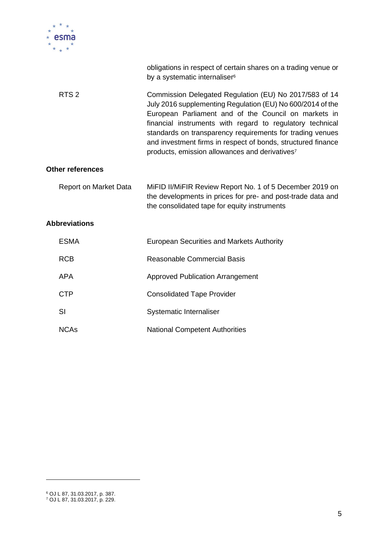

|                         | obligations in respect of certain shares on a trading venue or<br>by a systematic internaliser <sup>6</sup>                                                                                                                                                                                                                                                                                                                          |
|-------------------------|--------------------------------------------------------------------------------------------------------------------------------------------------------------------------------------------------------------------------------------------------------------------------------------------------------------------------------------------------------------------------------------------------------------------------------------|
| RTS <sub>2</sub>        | Commission Delegated Regulation (EU) No 2017/583 of 14<br>July 2016 supplementing Regulation (EU) No 600/2014 of the<br>European Parliament and of the Council on markets in<br>financial instruments with regard to regulatory technical<br>standards on transparency requirements for trading venues<br>and investment firms in respect of bonds, structured finance<br>products, emission allowances and derivatives <sup>7</sup> |
| <b>Other references</b> |                                                                                                                                                                                                                                                                                                                                                                                                                                      |
| Report on Market Data   | MIFID II/MIFIR Review Report No. 1 of 5 December 2019 on<br>the developments in prices for pre- and post-trade data and<br>the consolidated tape for equity instruments                                                                                                                                                                                                                                                              |
| <b>Abbreviations</b>    |                                                                                                                                                                                                                                                                                                                                                                                                                                      |
| <b>ESMA</b>             | <b>European Securities and Markets Authority</b>                                                                                                                                                                                                                                                                                                                                                                                     |
| <b>RCB</b>              | <b>Reasonable Commercial Basis</b>                                                                                                                                                                                                                                                                                                                                                                                                   |
| <b>APA</b>              | <b>Approved Publication Arrangement</b>                                                                                                                                                                                                                                                                                                                                                                                              |
| <b>CTP</b>              | <b>Consolidated Tape Provider</b>                                                                                                                                                                                                                                                                                                                                                                                                    |
| SI                      | Systematic Internaliser                                                                                                                                                                                                                                                                                                                                                                                                              |
| <b>NCAs</b>             | <b>National Competent Authorities</b>                                                                                                                                                                                                                                                                                                                                                                                                |

<sup>6</sup> OJ L 87, 31.03.2017, p. 387.

<sup>7</sup> OJ L 87, 31.03.2017, p. 229.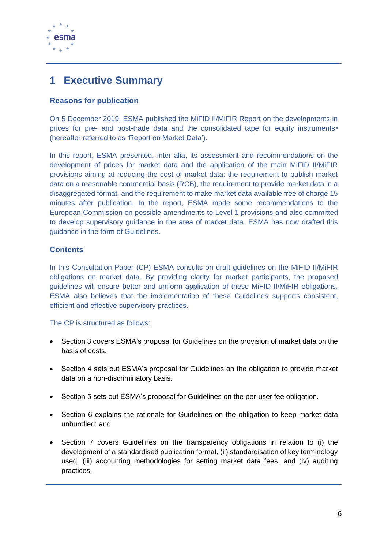

# <span id="page-5-0"></span>**1 Executive Summary**

#### **Reasons for publication**

On 5 December 2019, ESMA published the MiFID II/MiFIR Report on the developments in prices for pre- and post-trade data and the consolidated tape for equity instruments <sup>8</sup> (hereafter referred to as 'Report on Market Data').

In this report, ESMA presented, inter alia, its assessment and recommendations on the development of prices for market data and the application of the main MiFID II/MiFIR provisions aiming at reducing the cost of market data: the requirement to publish market data on a reasonable commercial basis (RCB), the requirement to provide market data in a disaggregated format, and the requirement to make market data available free of charge 15 minutes after publication. In the report, ESMA made some recommendations to the European Commission on possible amendments to Level 1 provisions and also committed to develop supervisory guidance in the area of market data. ESMA has now drafted this guidance in the form of Guidelines.

#### **Contents**

In this Consultation Paper (CP) ESMA consults on draft guidelines on the MiFID II/MiFIR obligations on market data. By providing clarity for market participants, the proposed guidelines will ensure better and uniform application of these MiFID II/MiFIR obligations. ESMA also believes that the implementation of these Guidelines supports consistent, efficient and effective supervisory practices.

#### The CP is structured as follows:

- Section 3 covers ESMA's proposal for Guidelines on the provision of market data on the basis of costs.
- Section 4 sets out ESMA's proposal for Guidelines on the obligation to provide market data on a non-discriminatory basis.
- Section 5 sets out ESMA's proposal for Guidelines on the per-user fee obligation.
- Section 6 explains the rationale for Guidelines on the obligation to keep market data unbundled; and
- Section 7 covers Guidelines on the transparency obligations in relation to (i) the development of a standardised publication format, (ii) standardisation of key terminology used, (iii) accounting methodologies for setting market data fees, and (iv) auditing practices.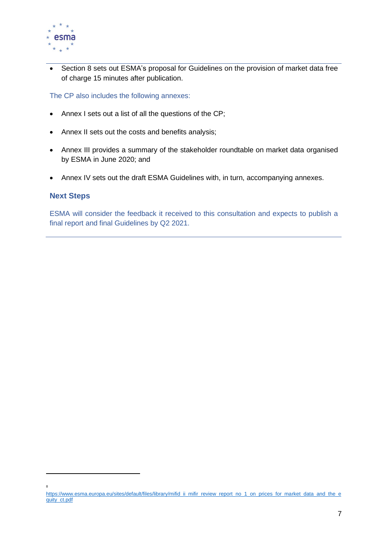

• Section 8 sets out ESMA's proposal for Guidelines on the provision of market data free of charge 15 minutes after publication.

The CP also includes the following annexes:

- Annex I sets out a list of all the questions of the CP;
- Annex II sets out the costs and benefits analysis;
- Annex III provides a summary of the stakeholder roundtable on market data organised by ESMA in June 2020; and
- Annex IV sets out the draft ESMA Guidelines with, in turn, accompanying annexes.

#### **Next Steps**

8

ESMA will consider the feedback it received to this consultation and expects to publish a final report and final Guidelines by Q2 2021.

[https://www.esma.europa.eu/sites/default/files/library/mifid\\_ii\\_mifir\\_review\\_report\\_no\\_1\\_on\\_prices\\_for\\_market\\_data\\_and\\_the\\_e](https://www.esma.europa.eu/sites/default/files/library/mifid_ii_mifir_review_report_no_1_on_prices_for_market_data_and_the_equity_ct.pdf) [quity\\_ct.pdf](https://www.esma.europa.eu/sites/default/files/library/mifid_ii_mifir_review_report_no_1_on_prices_for_market_data_and_the_equity_ct.pdf)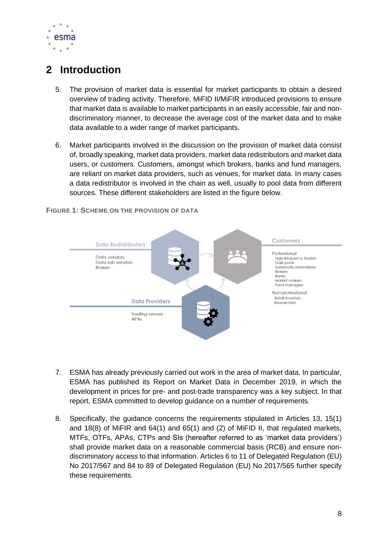

# <span id="page-7-0"></span>**2 Introduction**

- 5. The provision of market data is essential for market participants to obtain a desired overview of trading activity. Therefore, MiFID II/MiFIR introduced provisions to ensure that market data is available to market participants in an easily accessible, fair and nondiscriminatory manner, to decrease the average cost of the market data and to make data available to a wider range of market participants.
- 6. Market participants involved in the discussion on the provision of market data consist of, broadly speaking, market data providers, market data redistributors and market data users, or customers. Customers, amongst which brokers, banks and fund managers, are reliant on market data providers, such as venues, for market data. In many cases a data redistributor is involved in the chain as well, usually to pool data from different sources. These different stakeholders are listed in the figure below.



**FIGURE 1: SCHEME ON THE PROVISION OF DATA**

- 7. ESMA has already previously carried out work in the area of market data. In particular, ESMA has published its Report on Market Data in December 2019, in which the development in prices for pre- and post-trade transparency was a key subject. In that report, ESMA committed to develop guidance on a number of requirements.
- 8. Specifically, the guidance concerns the requirements stipulated in Articles 13, 15(1) and 18(8) of MiFIR and 64(1) and 65(1) and (2) of MiFID II, that regulated markets, MTFs, OTFs, APAs, CTPs and SIs (hereafter referred to as 'market data providers') shall provide market data on a reasonable commercial basis (RCB) and ensure nondiscriminatory access to that information. Articles 6 to 11 of Delegated Regulation (EU) No 2017/567 and 84 to 89 of Delegated Regulation (EU) No 2017/565 further specify these requirements.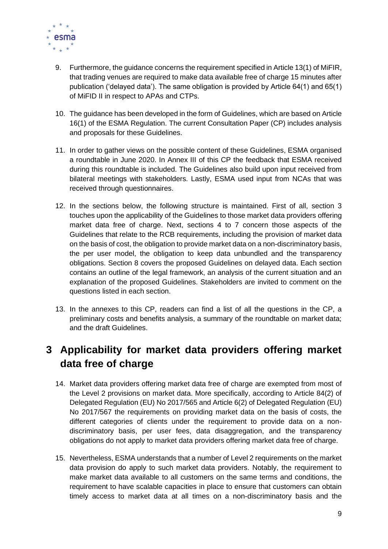

- 9. Furthermore, the guidance concerns the requirement specified in Article 13(1) of MiFIR, that trading venues are required to make data available free of charge 15 minutes after publication ('delayed data'). The same obligation is provided by Article 64(1) and 65(1) of MiFID II in respect to APAs and CTPs.
- 10. The guidance has been developed in the form of Guidelines, which are based on Article 16(1) of the ESMA Regulation. The current Consultation Paper (CP) includes analysis and proposals for these Guidelines.
- 11. In order to gather views on the possible content of these Guidelines, ESMA organised a roundtable in June 2020. In Annex III of this CP the feedback that ESMA received during this roundtable is included. The Guidelines also build upon input received from bilateral meetings with stakeholders. Lastly, ESMA used input from NCAs that was received through questionnaires.
- 12. In the sections below, the following structure is maintained. First of all, section 3 touches upon the applicability of the Guidelines to those market data providers offering market data free of charge. Next, sections 4 to 7 concern those aspects of the Guidelines that relate to the RCB requirements, including the provision of market data on the basis of cost, the obligation to provide market data on a non-discriminatory basis, the per user model, the obligation to keep data unbundled and the transparency obligations. Section 8 covers the proposed Guidelines on delayed data. Each section contains an outline of the legal framework, an analysis of the current situation and an explanation of the proposed Guidelines. Stakeholders are invited to comment on the questions listed in each section.
- 13. In the annexes to this CP, readers can find a list of all the questions in the CP, a preliminary costs and benefits analysis, a summary of the roundtable on market data; and the draft Guidelines.

# <span id="page-8-0"></span>**3 Applicability for market data providers offering market data free of charge**

- 14. Market data providers offering market data free of charge are exempted from most of the Level 2 provisions on market data. More specifically, according to Article 84(2) of Delegated Regulation (EU) No 2017/565 and Article 6(2) of Delegated Regulation (EU) No 2017/567 the requirements on providing market data on the basis of costs, the different categories of clients under the requirement to provide data on a nondiscriminatory basis, per user fees, data disaggregation, and the transparency obligations do not apply to market data providers offering market data free of charge.
- 15. Nevertheless, ESMA understands that a number of Level 2 requirements on the market data provision do apply to such market data providers. Notably, the requirement to make market data available to all customers on the same terms and conditions, the requirement to have scalable capacities in place to ensure that customers can obtain timely access to market data at all times on a non-discriminatory basis and the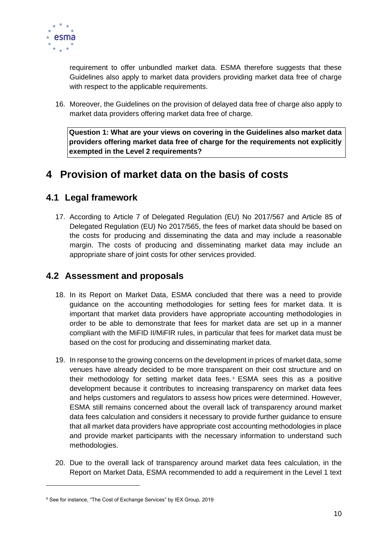

requirement to offer unbundled market data. ESMA therefore suggests that these Guidelines also apply to market data providers providing market data free of charge with respect to the applicable requirements.

16. Moreover, the Guidelines on the provision of delayed data free of charge also apply to market data providers offering market data free of charge.

**Question 1: What are your views on covering in the Guidelines also market data providers offering market data free of charge for the requirements not explicitly exempted in the Level 2 requirements?** 

# <span id="page-9-0"></span>**4 Provision of market data on the basis of costs**

## <span id="page-9-1"></span>**4.1 Legal framework**

17. According to Article 7 of Delegated Regulation (EU) No 2017/567 and Article 85 of Delegated Regulation (EU) No 2017/565, the fees of market data should be based on the costs for producing and disseminating the data and may include a reasonable margin. The costs of producing and disseminating market data may include an appropriate share of joint costs for other services provided.

## <span id="page-9-2"></span>**4.2 Assessment and proposals**

- 18. In its Report on Market Data, ESMA concluded that there was a need to provide guidance on the accounting methodologies for setting fees for market data. It is important that market data providers have appropriate accounting methodologies in order to be able to demonstrate that fees for market data are set up in a manner compliant with the MiFID II/MiFIR rules, in particular that fees for market data must be based on the cost for producing and disseminating market data.
- 19. In response to the growing concerns on the development in prices of market data, some venues have already decided to be more transparent on their cost structure and on their methodology for setting market data fees. <sup>9</sup> ESMA sees this as a positive development because it contributes to increasing transparency on market data fees and helps customers and regulators to assess how prices were determined. However, ESMA still remains concerned about the overall lack of transparency around market data fees calculation and considers it necessary to provide further guidance to ensure that all market data providers have appropriate cost accounting methodologies in place and provide market participants with the necessary information to understand such methodologies.
- 20. Due to the overall lack of transparency around market data fees calculation, in the Report on Market Data, ESMA recommended to add a requirement in the Level 1 text

<sup>&</sup>lt;sup>9</sup> See for instance, "The Cost of Exchange Services" by IEX Group, 2019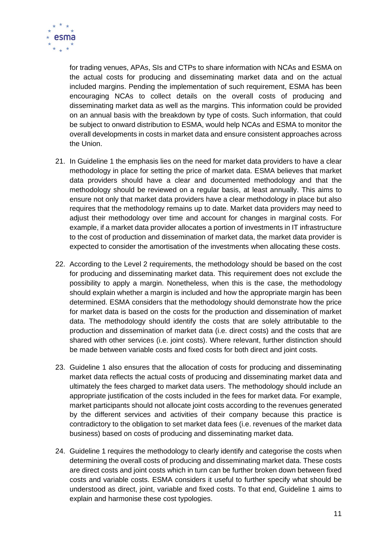

for trading venues, APAs, SIs and CTPs to share information with NCAs and ESMA on the actual costs for producing and disseminating market data and on the actual included margins. Pending the implementation of such requirement, ESMA has been encouraging NCAs to collect details on the overall costs of producing and disseminating market data as well as the margins. This information could be provided on an annual basis with the breakdown by type of costs. Such information, that could be subject to onward distribution to ESMA, would help NCAs and ESMA to monitor the overall developments in costs in market data and ensure consistent approaches across the Union.

- 21. In Guideline 1 the emphasis lies on the need for market data providers to have a clear methodology in place for setting the price of market data. ESMA believes that market data providers should have a clear and documented methodology and that the methodology should be reviewed on a regular basis, at least annually. This aims to ensure not only that market data providers have a clear methodology in place but also requires that the methodology remains up to date. Market data providers may need to adjust their methodology over time and account for changes in marginal costs. For example, if a market data provider allocates a portion of investments in IT infrastructure to the cost of production and dissemination of market data, the market data provider is expected to consider the amortisation of the investments when allocating these costs.
- 22. According to the Level 2 requirements, the methodology should be based on the cost for producing and disseminating market data. This requirement does not exclude the possibility to apply a margin. Nonetheless, when this is the case, the methodology should explain whether a margin is included and how the appropriate margin has been determined. ESMA considers that the methodology should demonstrate how the price for market data is based on the costs for the production and dissemination of market data. The methodology should identify the costs that are solely attributable to the production and dissemination of market data (i.e. direct costs) and the costs that are shared with other services (i.e. joint costs). Where relevant, further distinction should be made between variable costs and fixed costs for both direct and joint costs.
- 23. Guideline 1 also ensures that the allocation of costs for producing and disseminating market data reflects the actual costs of producing and disseminating market data and ultimately the fees charged to market data users. The methodology should include an appropriate justification of the costs included in the fees for market data. For example, market participants should not allocate joint costs according to the revenues generated by the different services and activities of their company because this practice is contradictory to the obligation to set market data fees (i.e. revenues of the market data business) based on costs of producing and disseminating market data.
- 24. Guideline 1 requires the methodology to clearly identify and categorise the costs when determining the overall costs of producing and disseminating market data. These costs are direct costs and joint costs which in turn can be further broken down between fixed costs and variable costs. ESMA considers it useful to further specify what should be understood as direct, joint, variable and fixed costs. To that end, Guideline 1 aims to explain and harmonise these cost typologies.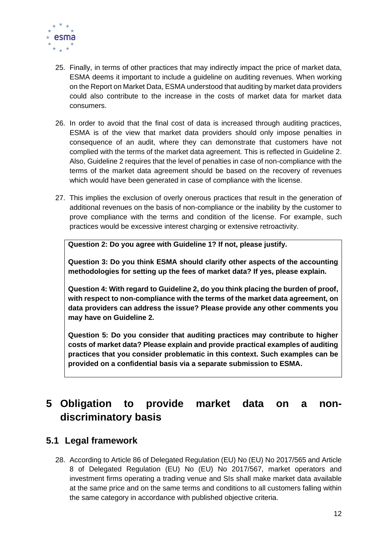

- 25. Finally, in terms of other practices that may indirectly impact the price of market data, ESMA deems it important to include a guideline on auditing revenues. When working on the Report on Market Data, ESMA understood that auditing by market data providers could also contribute to the increase in the costs of market data for market data consumers.
- 26. In order to avoid that the final cost of data is increased through auditing practices, ESMA is of the view that market data providers should only impose penalties in consequence of an audit, where they can demonstrate that customers have not complied with the terms of the market data agreement. This is reflected in Guideline 2. Also, Guideline 2 requires that the level of penalties in case of non-compliance with the terms of the market data agreement should be based on the recovery of revenues which would have been generated in case of compliance with the license.
- 27. This implies the exclusion of overly onerous practices that result in the generation of additional revenues on the basis of non-compliance or the inability by the customer to prove compliance with the terms and condition of the license. For example, such practices would be excessive interest charging or extensive retroactivity.

**Question 2: Do you agree with Guideline 1? If not, please justify.** 

**Question 3: Do you think ESMA should clarify other aspects of the accounting methodologies for setting up the fees of market data? If yes, please explain.**

**Question 4: With regard to Guideline 2, do you think placing the burden of proof, with respect to non-compliance with the terms of the market data agreement, on data providers can address the issue? Please provide any other comments you may have on Guideline 2.**

**Question 5: Do you consider that auditing practices may contribute to higher costs of market data? Please explain and provide practical examples of auditing practices that you consider problematic in this context. Such examples can be provided on a confidential basis via a separate submission to ESMA.** 

# <span id="page-11-0"></span>**5 Obligation to provide market data on a nondiscriminatory basis**

### <span id="page-11-1"></span>**5.1 Legal framework**

28. According to Article 86 of Delegated Regulation (EU) No (EU) No 2017/565 and Article 8 of Delegated Regulation (EU) No (EU) No 2017/567, market operators and investment firms operating a trading venue and SIs shall make market data available at the same price and on the same terms and conditions to all customers falling within the same category in accordance with published objective criteria.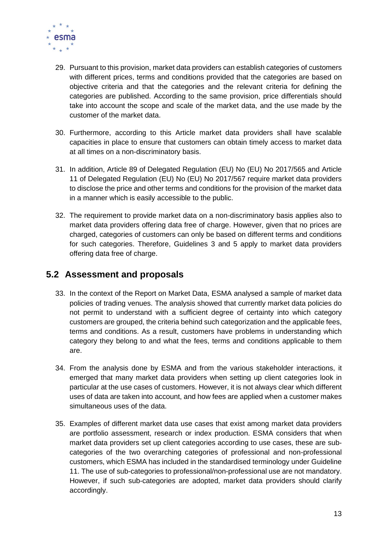

- 29. Pursuant to this provision, market data providers can establish categories of customers with different prices, terms and conditions provided that the categories are based on objective criteria and that the categories and the relevant criteria for defining the categories are published. According to the same provision, price differentials should take into account the scope and scale of the market data, and the use made by the customer of the market data.
- 30. Furthermore, according to this Article market data providers shall have scalable capacities in place to ensure that customers can obtain timely access to market data at all times on a non-discriminatory basis.
- 31. In addition, Article 89 of Delegated Regulation (EU) No (EU) No 2017/565 and Article 11 of Delegated Regulation (EU) No (EU) No 2017/567 require market data providers to disclose the price and other terms and conditions for the provision of the market data in a manner which is easily accessible to the public.
- 32. The requirement to provide market data on a non-discriminatory basis applies also to market data providers offering data free of charge. However, given that no prices are charged, categories of customers can only be based on different terms and conditions for such categories. Therefore, Guidelines 3 and 5 apply to market data providers offering data free of charge.

## <span id="page-12-0"></span>**5.2 Assessment and proposals**

- 33. In the context of the Report on Market Data, ESMA analysed a sample of market data policies of trading venues. The analysis showed that currently market data policies do not permit to understand with a sufficient degree of certainty into which category customers are grouped, the criteria behind such categorization and the applicable fees, terms and conditions. As a result, customers have problems in understanding which category they belong to and what the fees, terms and conditions applicable to them are.
- 34. From the analysis done by ESMA and from the various stakeholder interactions, it emerged that many market data providers when setting up client categories look in particular at the use cases of customers. However, it is not always clear which different uses of data are taken into account, and how fees are applied when a customer makes simultaneous uses of the data.
- 35. Examples of different market data use cases that exist among market data providers are portfolio assessment, research or index production. ESMA considers that when market data providers set up client categories according to use cases, these are subcategories of the two overarching categories of professional and non-professional customers, which ESMA has included in the standardised terminology under Guideline 11. The use of sub-categories to professional/non-professional use are not mandatory. However, if such sub-categories are adopted, market data providers should clarify accordingly.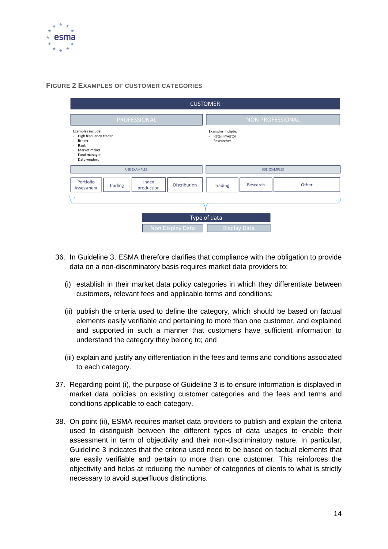

#### **FIGURE 2 EXAMPLES OF CUSTOMER CATEGORIES**

| <b>CUSTOMER</b>                                                                                                                                                                                                                                                            |                                                                      |  |  |  |  |
|----------------------------------------------------------------------------------------------------------------------------------------------------------------------------------------------------------------------------------------------------------------------------|----------------------------------------------------------------------|--|--|--|--|
| PROFESSIONAL                                                                                                                                                                                                                                                               | <b>NON PROFESSIONAL</b>                                              |  |  |  |  |
| Examples include:<br>High frequency trader<br>$\overline{\phantom{a}}$<br>Broker<br>$\overline{\phantom{a}}$<br>Bank<br>$\overline{\phantom{a}}$<br>Market maker<br>$\blacksquare$<br>Fund manager<br>$\overline{\phantom{a}}$<br>Data vendors<br>$\overline{\phantom{a}}$ | Examples include:<br>Retail investor<br>$\overline{a}$<br>Researcher |  |  |  |  |
| <b>USE EXAMPLES</b>                                                                                                                                                                                                                                                        | <b>USE EXAMPLES</b>                                                  |  |  |  |  |
| Index<br>Portfolio<br>Distribution<br>Trading<br>production<br>Assessment                                                                                                                                                                                                  | Other<br>Research<br><b>Trading</b>                                  |  |  |  |  |
| ٠                                                                                                                                                                                                                                                                          |                                                                      |  |  |  |  |
| Type of data                                                                                                                                                                                                                                                               |                                                                      |  |  |  |  |
| Non Display Data<br><b>Display Data</b>                                                                                                                                                                                                                                    |                                                                      |  |  |  |  |

- 36. In Guideline 3, ESMA therefore clarifies that compliance with the obligation to provide data on a non-discriminatory basis requires market data providers to:
	- (i) establish in their market data policy categories in which they differentiate between customers, relevant fees and applicable terms and conditions;
	- (ii) publish the criteria used to define the category, which should be based on factual elements easily verifiable and pertaining to more than one customer, and explained and supported in such a manner that customers have sufficient information to understand the category they belong to; and
	- (iii) explain and justify any differentiation in the fees and terms and conditions associated to each category.
- 37. Regarding point (i), the purpose of Guideline 3 is to ensure information is displayed in market data policies on existing customer categories and the fees and terms and conditions applicable to each category.
- 38. On point (ii), ESMA requires market data providers to publish and explain the criteria used to distinguish between the different types of data usages to enable their assessment in term of objectivity and their non-discriminatory nature. In particular, Guideline 3 indicates that the criteria used need to be based on factual elements that are easily verifiable and pertain to more than one customer. This reinforces the objectivity and helps at reducing the number of categories of clients to what is strictly necessary to avoid superfluous distinctions.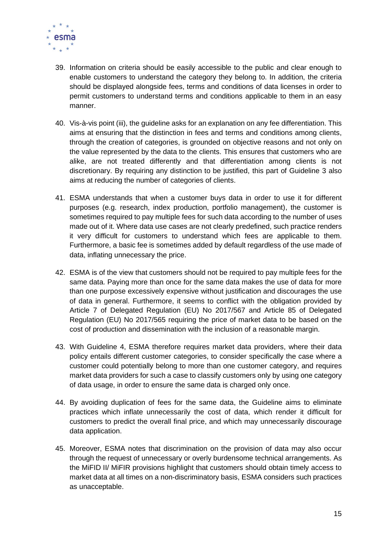

- 39. Information on criteria should be easily accessible to the public and clear enough to enable customers to understand the category they belong to. In addition, the criteria should be displayed alongside fees, terms and conditions of data licenses in order to permit customers to understand terms and conditions applicable to them in an easy manner.
- 40. Vis-à-vis point (iii), the guideline asks for an explanation on any fee differentiation. This aims at ensuring that the distinction in fees and terms and conditions among clients, through the creation of categories, is grounded on objective reasons and not only on the value represented by the data to the clients. This ensures that customers who are alike, are not treated differently and that differentiation among clients is not discretionary. By requiring any distinction to be justified, this part of Guideline 3 also aims at reducing the number of categories of clients.
- 41. ESMA understands that when a customer buys data in order to use it for different purposes (e.g. research, index production, portfolio management), the customer is sometimes required to pay multiple fees for such data according to the number of uses made out of it. Where data use cases are not clearly predefined, such practice renders it very difficult for customers to understand which fees are applicable to them. Furthermore, a basic fee is sometimes added by default regardless of the use made of data, inflating unnecessary the price.
- 42. ESMA is of the view that customers should not be required to pay multiple fees for the same data. Paying more than once for the same data makes the use of data for more than one purpose excessively expensive without justification and discourages the use of data in general. Furthermore, it seems to conflict with the obligation provided by Article 7 of Delegated Regulation (EU) No 2017/567 and Article 85 of Delegated Regulation (EU) No 2017/565 requiring the price of market data to be based on the cost of production and dissemination with the inclusion of a reasonable margin.
- 43. With Guideline 4, ESMA therefore requires market data providers, where their data policy entails different customer categories, to consider specifically the case where a customer could potentially belong to more than one customer category, and requires market data providers for such a case to classify customers only by using one category of data usage, in order to ensure the same data is charged only once.
- 44. By avoiding duplication of fees for the same data, the Guideline aims to eliminate practices which inflate unnecessarily the cost of data, which render it difficult for customers to predict the overall final price, and which may unnecessarily discourage data application.
- 45. Moreover, ESMA notes that discrimination on the provision of data may also occur through the request of unnecessary or overly burdensome technical arrangements. As the MiFID II/ MiFIR provisions highlight that customers should obtain timely access to market data at all times on a non-discriminatory basis, ESMA considers such practices as unacceptable.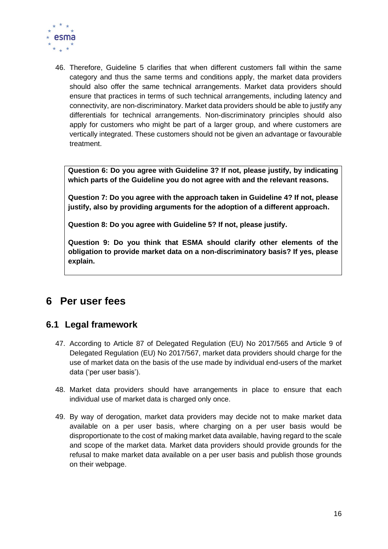

46. Therefore, Guideline 5 clarifies that when different customers fall within the same category and thus the same terms and conditions apply, the market data providers should also offer the same technical arrangements. Market data providers should ensure that practices in terms of such technical arrangements, including latency and connectivity, are non-discriminatory. Market data providers should be able to justify any differentials for technical arrangements. Non-discriminatory principles should also apply for customers who might be part of a larger group, and where customers are vertically integrated. These customers should not be given an advantage or favourable treatment.

**Question 6: Do you agree with Guideline 3? If not, please justify, by indicating which parts of the Guideline you do not agree with and the relevant reasons.**

**Question 7: Do you agree with the approach taken in Guideline 4? If not, please justify, also by providing arguments for the adoption of a different approach.** 

**Question 8: Do you agree with Guideline 5? If not, please justify.**

**Question 9: Do you think that ESMA should clarify other elements of the obligation to provide market data on a non-discriminatory basis? If yes, please explain.**

# <span id="page-15-0"></span>**6 Per user fees**

### <span id="page-15-1"></span>**6.1 Legal framework**

- 47. According to Article 87 of Delegated Regulation (EU) No 2017/565 and Article 9 of Delegated Regulation (EU) No 2017/567, market data providers should charge for the use of market data on the basis of the use made by individual end-users of the market data ('per user basis').
- 48. Market data providers should have arrangements in place to ensure that each individual use of market data is charged only once.
- 49. By way of derogation, market data providers may decide not to make market data available on a per user basis, where charging on a per user basis would be disproportionate to the cost of making market data available, having regard to the scale and scope of the market data. Market data providers should provide grounds for the refusal to make market data available on a per user basis and publish those grounds on their webpage.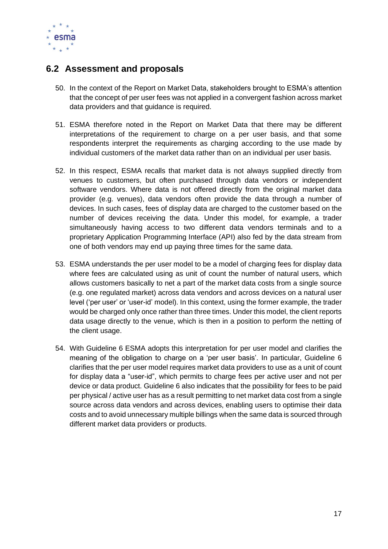

## <span id="page-16-0"></span>**6.2 Assessment and proposals**

- 50. In the context of the Report on Market Data, stakeholders brought to ESMA's attention that the concept of per user fees was not applied in a convergent fashion across market data providers and that guidance is required.
- 51. ESMA therefore noted in the Report on Market Data that there may be different interpretations of the requirement to charge on a per user basis, and that some respondents interpret the requirements as charging according to the use made by individual customers of the market data rather than on an individual per user basis.
- 52. In this respect, ESMA recalls that market data is not always supplied directly from venues to customers, but often purchased through data vendors or independent software vendors. Where data is not offered directly from the original market data provider (e.g. venues), data vendors often provide the data through a number of devices. In such cases, fees of display data are charged to the customer based on the number of devices receiving the data. Under this model, for example, a trader simultaneously having access to two different data vendors terminals and to a proprietary Application Programming Interface (API) also fed by the data stream from one of both vendors may end up paying three times for the same data.
- 53. ESMA understands the per user model to be a model of charging fees for display data where fees are calculated using as unit of count the number of natural users, which allows customers basically to net a part of the market data costs from a single source (e.g. one regulated market) across data vendors and across devices on a natural user level ('per user' or 'user-id' model). In this context, using the former example, the trader would be charged only once rather than three times. Under this model, the client reports data usage directly to the venue, which is then in a position to perform the netting of the client usage.
- 54. With Guideline 6 ESMA adopts this interpretation for per user model and clarifies the meaning of the obligation to charge on a 'per user basis'. In particular, Guideline 6 clarifies that the per user model requires market data providers to use as a unit of count for display data a "user-id", which permits to charge fees per active user and not per device or data product. Guideline 6 also indicates that the possibility for fees to be paid per physical / active user has as a result permitting to net market data cost from a single source across data vendors and across devices, enabling users to optimise their data costs and to avoid unnecessary multiple billings when the same data is sourced through different market data providers or products.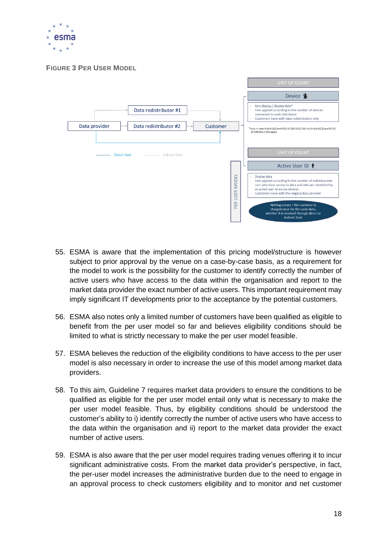

**FIGURE 3 PER USER MODEL**



- 55. ESMA is aware that the implementation of this pricing model/structure is however subject to prior approval by the venue on a case-by-case basis, as a requirement for the model to work is the possibility for the customer to identify correctly the number of active users who have access to the data within the organisation and report to the market data provider the exact number of active users. This important requirement may imply significant IT developments prior to the acceptance by the potential customers.
- 56. ESMA also notes only a limited number of customers have been qualified as eligible to benefit from the per user model so far and believes eligibility conditions should be limited to what is strictly necessary to make the per user model feasible.
- 57. ESMA believes the reduction of the eligibility conditions to have access to the per user model is also necessary in order to increase the use of this model among market data providers.
- 58. To this aim, Guideline 7 requires market data providers to ensure the conditions to be qualified as eligible for the per user model entail only what is necessary to make the per user model feasible. Thus, by eligibility conditions should be understood the customer's ability to i) identify correctly the number of active users who have access to the data within the organisation and ii) report to the market data provider the exact number of active users.
- 59. ESMA is also aware that the per user model requires trading venues offering it to incur significant administrative costs. From the market data provider's perspective, in fact, the per-user model increases the administrative burden due to the need to engage in an approval process to check customers eligibility and to monitor and net customer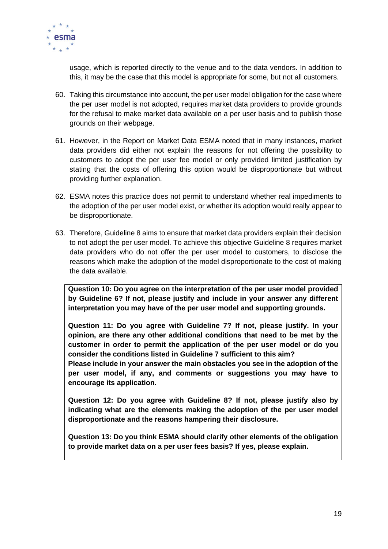

usage, which is reported directly to the venue and to the data vendors. In addition to this, it may be the case that this model is appropriate for some, but not all customers.

- 60. Taking this circumstance into account, the per user model obligation for the case where the per user model is not adopted, requires market data providers to provide grounds for the refusal to make market data available on a per user basis and to publish those grounds on their webpage.
- 61. However, in the Report on Market Data ESMA noted that in many instances, market data providers did either not explain the reasons for not offering the possibility to customers to adopt the per user fee model or only provided limited justification by stating that the costs of offering this option would be disproportionate but without providing further explanation.
- 62. ESMA notes this practice does not permit to understand whether real impediments to the adoption of the per user model exist, or whether its adoption would really appear to be disproportionate.
- 63. Therefore, Guideline 8 aims to ensure that market data providers explain their decision to not adopt the per user model. To achieve this objective Guideline 8 requires market data providers who do not offer the per user model to customers, to disclose the reasons which make the adoption of the model disproportionate to the cost of making the data available.

**Question 10: Do you agree on the interpretation of the per user model provided by Guideline 6? If not, please justify and include in your answer any different interpretation you may have of the per user model and supporting grounds.** 

**Question 11: Do you agree with Guideline 7? If not, please justify. In your opinion, are there any other additional conditions that need to be met by the customer in order to permit the application of the per user model or do you consider the conditions listed in Guideline 7 sufficient to this aim?**

**Please include in your answer the main obstacles you see in the adoption of the per user model, if any, and comments or suggestions you may have to encourage its application.**

**Question 12: Do you agree with Guideline 8? If not, please justify also by indicating what are the elements making the adoption of the per user model disproportionate and the reasons hampering their disclosure.** 

**Question 13: Do you think ESMA should clarify other elements of the obligation to provide market data on a per user fees basis? If yes, please explain.**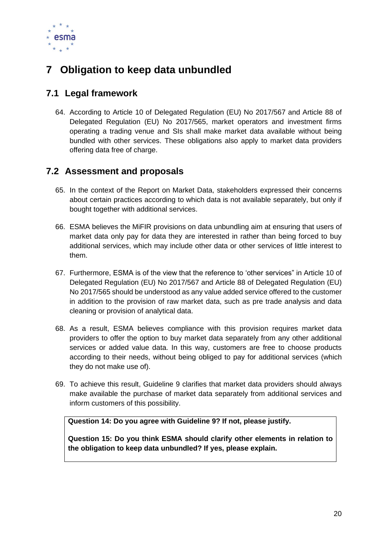

# <span id="page-19-0"></span>**7 Obligation to keep data unbundled**

## <span id="page-19-1"></span>**7.1 Legal framework**

64. According to Article 10 of Delegated Regulation (EU) No 2017/567 and Article 88 of Delegated Regulation (EU) No 2017/565, market operators and investment firms operating a trading venue and SIs shall make market data available without being bundled with other services. These obligations also apply to market data providers offering data free of charge.

## <span id="page-19-2"></span>**7.2 Assessment and proposals**

- 65. In the context of the Report on Market Data, stakeholders expressed their concerns about certain practices according to which data is not available separately, but only if bought together with additional services.
- 66. ESMA believes the MiFIR provisions on data unbundling aim at ensuring that users of market data only pay for data they are interested in rather than being forced to buy additional services, which may include other data or other services of little interest to them.
- 67. Furthermore, ESMA is of the view that the reference to 'other services" in Article 10 of Delegated Regulation (EU) No 2017/567 and Article 88 of Delegated Regulation (EU) No 2017/565 should be understood as any value added service offered to the customer in addition to the provision of raw market data, such as pre trade analysis and data cleaning or provision of analytical data.
- 68. As a result, ESMA believes compliance with this provision requires market data providers to offer the option to buy market data separately from any other additional services or added value data. In this way, customers are free to choose products according to their needs, without being obliged to pay for additional services (which they do not make use of).
- 69. To achieve this result, Guideline 9 clarifies that market data providers should always make available the purchase of market data separately from additional services and inform customers of this possibility.

**Question 14: Do you agree with Guideline 9? If not, please justify.** 

**Question 15: Do you think ESMA should clarify other elements in relation to the obligation to keep data unbundled? If yes, please explain.**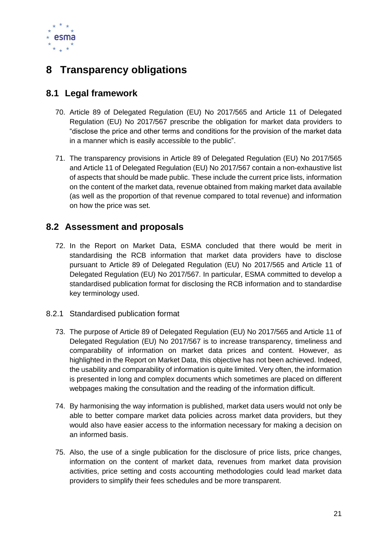

# <span id="page-20-0"></span>**8 Transparency obligations**

## <span id="page-20-1"></span>**8.1 Legal framework**

- 70. Article 89 of Delegated Regulation (EU) No 2017/565 and Article 11 of Delegated Regulation (EU) No 2017/567 prescribe the obligation for market data providers to "disclose the price and other terms and conditions for the provision of the market data in a manner which is easily accessible to the public".
- 71. The transparency provisions in Article 89 of Delegated Regulation (EU) No 2017/565 and Article 11 of Delegated Regulation (EU) No 2017/567 contain a non-exhaustive list of aspects that should be made public. These include the current price lists, information on the content of the market data, revenue obtained from making market data available (as well as the proportion of that revenue compared to total revenue) and information on how the price was set.

## <span id="page-20-2"></span>**8.2 Assessment and proposals**

- 72. In the Report on Market Data, ESMA concluded that there would be merit in standardising the RCB information that market data providers have to disclose pursuant to Article 89 of Delegated Regulation (EU) No 2017/565 and Article 11 of Delegated Regulation (EU) No 2017/567. In particular, ESMA committed to develop a standardised publication format for disclosing the RCB information and to standardise key terminology used.
- <span id="page-20-3"></span>8.2.1 Standardised publication format
	- 73. The purpose of Article 89 of Delegated Regulation (EU) No 2017/565 and Article 11 of Delegated Regulation (EU) No 2017/567 is to increase transparency, timeliness and comparability of information on market data prices and content. However, as highlighted in the Report on Market Data, this objective has not been achieved. Indeed, the usability and comparability of information is quite limited. Very often, the information is presented in long and complex documents which sometimes are placed on different webpages making the consultation and the reading of the information difficult.
	- 74. By harmonising the way information is published, market data users would not only be able to better compare market data policies across market data providers, but they would also have easier access to the information necessary for making a decision on an informed basis.
	- 75. Also, the use of a single publication for the disclosure of price lists, price changes, information on the content of market data, revenues from market data provision activities, price setting and costs accounting methodologies could lead market data providers to simplify their fees schedules and be more transparent.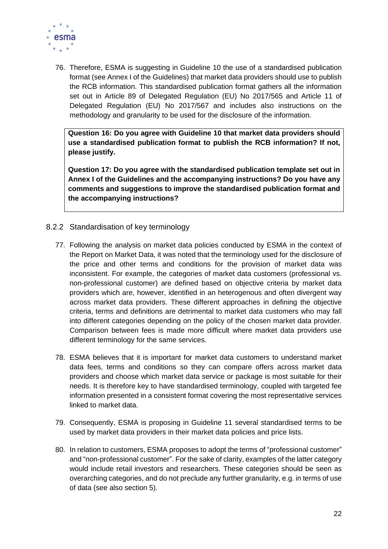

76. Therefore, ESMA is suggesting in Guideline 10 the use of a standardised publication format (see Annex I of the Guidelines) that market data providers should use to publish the RCB information. This standardised publication format gathers all the information set out in Article 89 of Delegated Regulation (EU) No 2017/565 and Article 11 of Delegated Regulation (EU) No 2017/567 and includes also instructions on the methodology and granularity to be used for the disclosure of the information.

**Question 16: Do you agree with Guideline 10 that market data providers should use a standardised publication format to publish the RCB information? If not, please justify.**

**Question 17: Do you agree with the standardised publication template set out in Annex I of the Guidelines and the accompanying instructions? Do you have any comments and suggestions to improve the standardised publication format and the accompanying instructions?**

- <span id="page-21-0"></span>8.2.2 Standardisation of key terminology
	- 77. Following the analysis on market data policies conducted by ESMA in the context of the Report on Market Data, it was noted that the terminology used for the disclosure of the price and other terms and conditions for the provision of market data was inconsistent. For example, the categories of market data customers (professional vs. non-professional customer) are defined based on objective criteria by market data providers which are, however, identified in an heterogenous and often divergent way across market data providers. These different approaches in defining the objective criteria, terms and definitions are detrimental to market data customers who may fall into different categories depending on the policy of the chosen market data provider. Comparison between fees is made more difficult where market data providers use different terminology for the same services.
	- 78. ESMA believes that it is important for market data customers to understand market data fees, terms and conditions so they can compare offers across market data providers and choose which market data service or package is most suitable for their needs. It is therefore key to have standardised terminology, coupled with targeted fee information presented in a consistent format covering the most representative services linked to market data.
	- 79. Consequently, ESMA is proposing in Guideline 11 several standardised terms to be used by market data providers in their market data policies and price lists.
	- 80. In relation to customers, ESMA proposes to adopt the terms of "professional customer" and "non-professional customer". For the sake of clarity, examples of the latter category would include retail investors and researchers. These categories should be seen as overarching categories, and do not preclude any further granularity, e.g. in terms of use of data (see also section 5).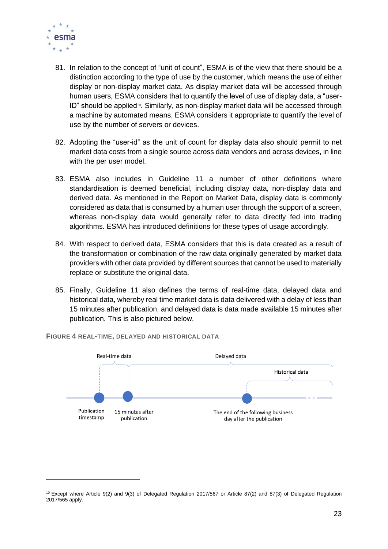

- 81. In relation to the concept of "unit of count", ESMA is of the view that there should be a distinction according to the type of use by the customer, which means the use of either display or non-display market data. As display market data will be accessed through human users, ESMA considers that to quantify the level of use of display data, a "user- $ID$ " should be applied<sup> $0$ </sup>. Similarly, as non-display market data will be accessed through a machine by automated means, ESMA considers it appropriate to quantify the level of use by the number of servers or devices.
- 82. Adopting the "user-id" as the unit of count for display data also should permit to net market data costs from a single source across data vendors and across devices, in line with the per user model.
- 83. ESMA also includes in Guideline 11 a number of other definitions where standardisation is deemed beneficial, including display data, non-display data and derived data. As mentioned in the Report on Market Data, display data is commonly considered as data that is consumed by a human user through the support of a screen, whereas non-display data would generally refer to data directly fed into trading algorithms. ESMA has introduced definitions for these types of usage accordingly.
- 84. With respect to derived data, ESMA considers that this is data created as a result of the transformation or combination of the raw data originally generated by market data providers with other data provided by different sources that cannot be used to materially replace or substitute the original data.
- 85. Finally, Guideline 11 also defines the terms of real-time data, delayed data and historical data, whereby real time market data is data delivered with a delay of less than 15 minutes after publication, and delayed data is data made available 15 minutes after publication. This is also pictured below.



**FIGURE 4 REAL-TIME, DELAYED AND HISTORICAL DATA** 

<sup>10</sup> Except where Article 9(2) and 9(3) of Delegated Regulation 2017/567 or Article 87(2) and 87(3) of Delegated Regulation 2017/565 apply.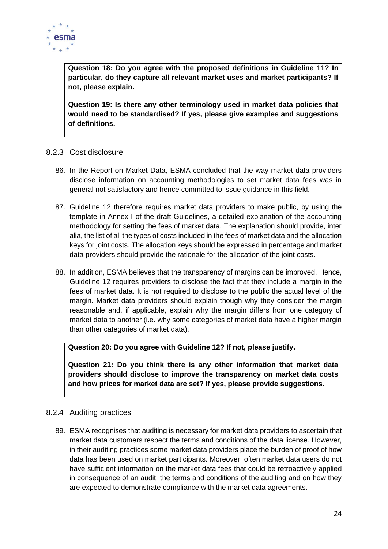

**Question 18: Do you agree with the proposed definitions in Guideline 11? In particular, do they capture all relevant market uses and market participants? If not, please explain.**

**Question 19: Is there any other terminology used in market data policies that would need to be standardised? If yes, please give examples and suggestions of definitions.**

#### <span id="page-23-0"></span>8.2.3 Cost disclosure

- 86. In the Report on Market Data, ESMA concluded that the way market data providers disclose information on accounting methodologies to set market data fees was in general not satisfactory and hence committed to issue guidance in this field.
- 87. Guideline 12 therefore requires market data providers to make public, by using the template in Annex I of the draft Guidelines, a detailed explanation of the accounting methodology for setting the fees of market data. The explanation should provide, inter alia, the list of all the types of costs included in the fees of market data and the allocation keys for joint costs. The allocation keys should be expressed in percentage and market data providers should provide the rationale for the allocation of the joint costs.
- 88. In addition, ESMA believes that the transparency of margins can be improved. Hence, Guideline 12 requires providers to disclose the fact that they include a margin in the fees of market data. It is not required to disclose to the public the actual level of the margin. Market data providers should explain though why they consider the margin reasonable and, if applicable, explain why the margin differs from one category of market data to another (i.e. why some categories of market data have a higher margin than other categories of market data).

**Question 20: Do you agree with Guideline 12? If not, please justify.**

**Question 21: Do you think there is any other information that market data providers should disclose to improve the transparency on market data costs and how prices for market data are set? If yes, please provide suggestions.**

#### <span id="page-23-1"></span>8.2.4 Auditing practices

89. ESMA recognises that auditing is necessary for market data providers to ascertain that market data customers respect the terms and conditions of the data license. However, in their auditing practices some market data providers place the burden of proof of how data has been used on market participants. Moreover, often market data users do not have sufficient information on the market data fees that could be retroactively applied in consequence of an audit, the terms and conditions of the auditing and on how they are expected to demonstrate compliance with the market data agreements.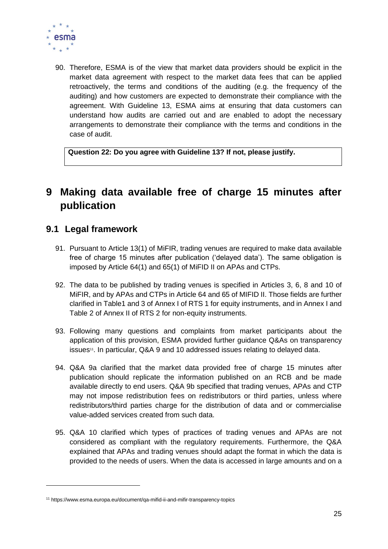

90. Therefore, ESMA is of the view that market data providers should be explicit in the market data agreement with respect to the market data fees that can be applied retroactively, the terms and conditions of the auditing (e.g. the frequency of the auditing) and how customers are expected to demonstrate their compliance with the agreement. With Guideline 13, ESMA aims at ensuring that data customers can understand how audits are carried out and are enabled to adopt the necessary arrangements to demonstrate their compliance with the terms and conditions in the case of audit.

**Question 22: Do you agree with Guideline 13? If not, please justify.**

# <span id="page-24-0"></span>**9 Making data available free of charge 15 minutes after publication**

## <span id="page-24-1"></span>**9.1 Legal framework**

- 91. Pursuant to Article 13(1) of MiFIR, trading venues are required to make data available free of charge 15 minutes after publication ('delayed data'). The same obligation is imposed by Article 64(1) and 65(1) of MiFID II on APAs and CTPs.
- 92. The data to be published by trading venues is specified in Articles 3, 6, 8 and 10 of MiFIR, and by APAs and CTPs in Article 64 and 65 of MIFID II. Those fields are further clarified in Table1 and 3 of Annex I of RTS 1 for equity instruments, and in Annex I and Table 2 of Annex II of RTS 2 for non-equity instruments.
- 93. Following many questions and complaints from market participants about the application of this provision, ESMA provided further guidance Q&As on transparency issues<sup>11</sup>. In particular, Q&A 9 and 10 addressed issues relating to delayed data.
- 94. Q&A 9a clarified that the market data provided free of charge 15 minutes after publication should replicate the information published on an RCB and be made available directly to end users. Q&A 9b specified that trading venues, APAs and CTP may not impose redistribution fees on redistributors or third parties, unless where redistributors/third parties charge for the distribution of data and or commercialise value-added services created from such data.
- 95. Q&A 10 clarified which types of practices of trading venues and APAs are not considered as compliant with the regulatory requirements. Furthermore, the Q&A explained that APAs and trading venues should adapt the format in which the data is provided to the needs of users. When the data is accessed in large amounts and on a

<sup>11</sup> https://www.esma.europa.eu/document/qa-mifid-ii-and-mifir-transparency-topics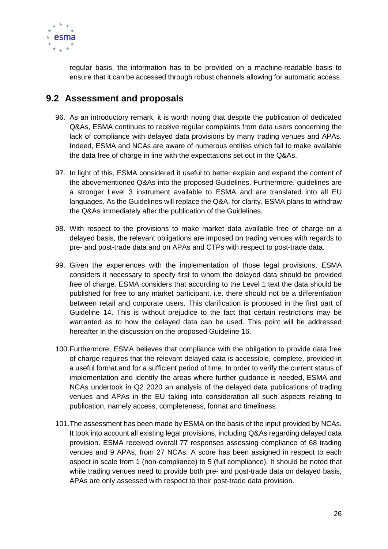

regular basis, the information has to be provided on a machine-readable basis to ensure that it can be accessed through robust channels allowing for automatic access.

## <span id="page-25-0"></span>**9.2 Assessment and proposals**

- 96. As an introductory remark, it is worth noting that despite the publication of dedicated Q&As, ESMA continues to receive regular complaints from data users concerning the lack of compliance with delayed data provisions by many trading venues and APAs. Indeed, ESMA and NCAs are aware of numerous entities which fail to make available the data free of charge in line with the expectations set out in the Q&As.
- 97. In light of this, ESMA considered it useful to better explain and expand the content of the abovementioned Q&As into the proposed Guidelines. Furthermore, guidelines are a stronger Level 3 instrument available to ESMA and are translated into all EU languages. As the Guidelines will replace the Q&A, for clarity, ESMA plans to withdraw the Q&As immediately after the publication of the Guidelines.
- 98. With respect to the provisions to make market data available free of charge on a delayed basis, the relevant obligations are imposed on trading venues with regards to pre- and post-trade data and on APAs and CTPs with respect to post-trade data.
- 99. Given the experiences with the implementation of those legal provisions, ESMA considers it necessary to specify first to whom the delayed data should be provided free of charge. ESMA considers that according to the Level 1 text the data should be published for free to any market participant, i.e. there should not be a differentiation between retail and corporate users. This clarification is proposed in the first part of Guideline 14. This is without prejudice to the fact that certain restrictions may be warranted as to how the delayed data can be used. This point will be addressed hereafter in the discussion on the proposed Guideline 16.
- 100.Furthermore, ESMA believes that compliance with the obligation to provide data free of charge requires that the relevant delayed data is accessible, complete, provided in a useful format and for a sufficient period of time. In order to verify the current status of implementation and identify the areas where further guidance is needed, ESMA and NCAs undertook in Q2 2020 an analysis of the delayed data publications of trading venues and APAs in the EU taking into consideration all such aspects relating to publication, namely access, completeness, format and timeliness.
- 101.The assessment has been made by ESMA on the basis of the input provided by NCAs. It took into account all existing legal provisions, including Q&As regarding delayed data provision. ESMA received overall 77 responses assessing compliance of 68 trading venues and 9 APAs, from 27 NCAs. A score has been assigned in respect to each aspect in scale from 1 (non-compliance) to 5 (full compliance). It should be noted that while trading venues need to provide both pre- and post-trade data on delayed basis, APAs are only assessed with respect to their post-trade data provision.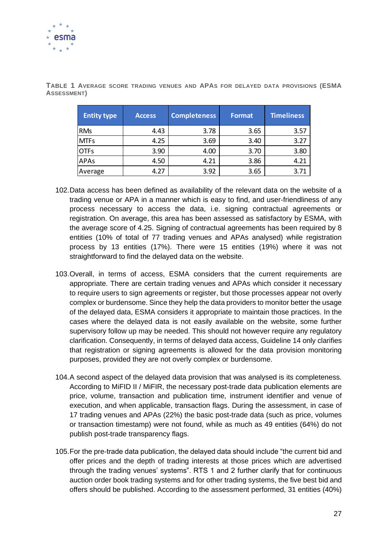

| <b>Entity type</b> | <b>Access</b> | <b>Completeness</b> | <b>Format</b> | <b>Timeliness</b> |
|--------------------|---------------|---------------------|---------------|-------------------|
| <b>RMs</b>         | 4.43          | 3.78                | 3.65          | 3.57              |
| <b>MTFs</b>        | 4.25          | 3.69                | 3.40          | 3.27              |
| <b>OTFs</b>        | 3.90          | 4.00                | 3.70          | 3.80              |
| <b>APAs</b>        | 4.50          | 4.21                | 3.86          | 4.21              |
| Average            | 4.27          | 3.92                | 3.65          | 3.71              |

**TABLE 1 AVERAGE SCORE TRADING VENUES AND APAS FOR DELAYED DATA PROVISIONS (ESMA ASSESSMENT)**

- 102.Data access has been defined as availability of the relevant data on the website of a trading venue or APA in a manner which is easy to find, and user-friendliness of any process necessary to access the data, i.e. signing contractual agreements or registration. On average, this area has been assessed as satisfactory by ESMA, with the average score of 4.25. Signing of contractual agreements has been required by 8 entities (10% of total of 77 trading venues and APAs analysed) while registration process by 13 entities (17%). There were 15 entities (19%) where it was not straightforward to find the delayed data on the website.
- 103.Overall, in terms of access, ESMA considers that the current requirements are appropriate. There are certain trading venues and APAs which consider it necessary to require users to sign agreements or register, but those processes appear not overly complex or burdensome. Since they help the data providers to monitor better the usage of the delayed data, ESMA considers it appropriate to maintain those practices. In the cases where the delayed data is not easily available on the website, some further supervisory follow up may be needed. This should not however require any regulatory clarification. Consequently, in terms of delayed data access, Guideline 14 only clarifies that registration or signing agreements is allowed for the data provision monitoring purposes, provided they are not overly complex or burdensome.
- 104.A second aspect of the delayed data provision that was analysed is its completeness. According to MiFID II / MiFIR, the necessary post-trade data publication elements are price, volume, transaction and publication time, instrument identifier and venue of execution, and when applicable, transaction flags. During the assessment, in case of 17 trading venues and APAs (22%) the basic post-trade data (such as price, volumes or transaction timestamp) were not found, while as much as 49 entities (64%) do not publish post-trade transparency flags.
- 105.For the pre-trade data publication, the delayed data should include "the current bid and offer prices and the depth of trading interests at those prices which are advertised through the trading venues' systems". RTS 1 and 2 further clarify that for continuous auction order book trading systems and for other trading systems, the five best bid and offers should be published. According to the assessment performed, 31 entities (40%)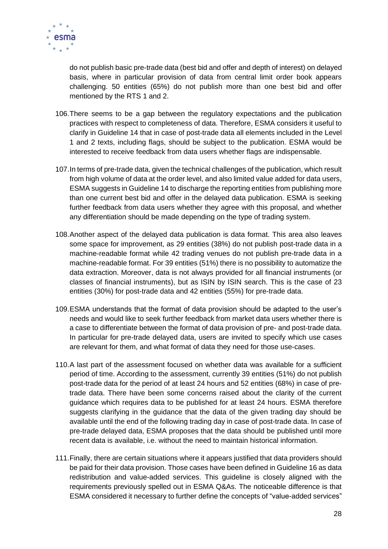

do not publish basic pre-trade data (best bid and offer and depth of interest) on delayed basis, where in particular provision of data from central limit order book appears challenging. 50 entities (65%) do not publish more than one best bid and offer mentioned by the RTS 1 and 2.

- 106.There seems to be a gap between the regulatory expectations and the publication practices with respect to completeness of data. Therefore, ESMA considers it useful to clarify in Guideline 14 that in case of post-trade data all elements included in the Level 1 and 2 texts, including flags, should be subject to the publication. ESMA would be interested to receive feedback from data users whether flags are indispensable.
- 107.In terms of pre-trade data, given the technical challenges of the publication, which result from high volume of data at the order level, and also limited value added for data users, ESMA suggests in Guideline 14 to discharge the reporting entities from publishing more than one current best bid and offer in the delayed data publication. ESMA is seeking further feedback from data users whether they agree with this proposal, and whether any differentiation should be made depending on the type of trading system.
- 108.Another aspect of the delayed data publication is data format. This area also leaves some space for improvement, as 29 entities (38%) do not publish post-trade data in a machine-readable format while 42 trading venues do not publish pre-trade data in a machine-readable format. For 39 entities (51%) there is no possibility to automatize the data extraction. Moreover, data is not always provided for all financial instruments (or classes of financial instruments), but as ISIN by ISIN search. This is the case of 23 entities (30%) for post-trade data and 42 entities (55%) for pre-trade data.
- 109.ESMA understands that the format of data provision should be adapted to the user's needs and would like to seek further feedback from market data users whether there is a case to differentiate between the format of data provision of pre- and post-trade data. In particular for pre-trade delayed data, users are invited to specify which use cases are relevant for them, and what format of data they need for those use-cases.
- 110.A last part of the assessment focused on whether data was available for a sufficient period of time. According to the assessment, currently 39 entities (51%) do not publish post-trade data for the period of at least 24 hours and 52 entities (68%) in case of pretrade data. There have been some concerns raised about the clarity of the current guidance which requires data to be published for at least 24 hours. ESMA therefore suggests clarifying in the guidance that the data of the given trading day should be available until the end of the following trading day in case of post-trade data. In case of pre-trade delayed data, ESMA proposes that the data should be published until more recent data is available, i.e. without the need to maintain historical information.
- 111.Finally, there are certain situations where it appears justified that data providers should be paid for their data provision. Those cases have been defined in Guideline 16 as data redistribution and value-added services. This guideline is closely aligned with the requirements previously spelled out in ESMA Q&As. The noticeable difference is that ESMA considered it necessary to further define the concepts of "value-added services"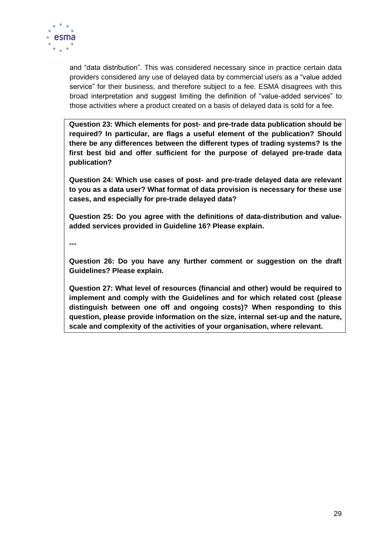

and "data distribution". This was considered necessary since in practice certain data providers considered any use of delayed data by commercial users as a "value added service" for their business, and therefore subject to a fee. ESMA disagrees with this broad interpretation and suggest limiting the definition of "value-added services" to those activities where a product created on a basis of delayed data is sold for a fee.

**Question 23: Which elements for post- and pre-trade data publication should be required? In particular, are flags a useful element of the publication? Should there be any differences between the different types of trading systems? Is the first best bid and offer sufficient for the purpose of delayed pre-trade data publication?**

**Question 24: Which use cases of post- and pre-trade delayed data are relevant to you as a data user? What format of data provision is necessary for these use cases, and especially for pre-trade delayed data?** 

**Question 25: Do you agree with the definitions of data-distribution and valueadded services provided in Guideline 16? Please explain.**

**---**

**Question 26: Do you have any further comment or suggestion on the draft Guidelines? Please explain.** 

**Question 27: What level of resources (financial and other) would be required to implement and comply with the Guidelines and for which related cost (please distinguish between one off and ongoing costs)? When responding to this question, please provide information on the size, internal set-up and the nature, scale and complexity of the activities of your organisation, where relevant.**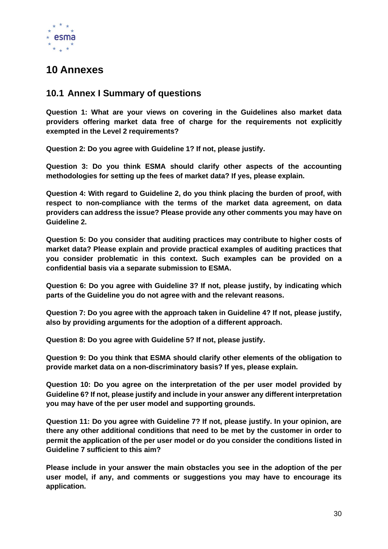

# <span id="page-29-0"></span>**10 Annexes**

## <span id="page-29-1"></span>**10.1 Annex I Summary of questions**

**Question 1: What are your views on covering in the Guidelines also market data providers offering market data free of charge for the requirements not explicitly exempted in the Level 2 requirements?**

**Question 2: Do you agree with Guideline 1? If not, please justify.** 

**Question 3: Do you think ESMA should clarify other aspects of the accounting methodologies for setting up the fees of market data? If yes, please explain.**

**Question 4: With regard to Guideline 2, do you think placing the burden of proof, with respect to non-compliance with the terms of the market data agreement, on data providers can address the issue? Please provide any other comments you may have on Guideline 2.**

**Question 5: Do you consider that auditing practices may contribute to higher costs of market data? Please explain and provide practical examples of auditing practices that you consider problematic in this context. Such examples can be provided on a confidential basis via a separate submission to ESMA.**

**Question 6: Do you agree with Guideline 3? If not, please justify, by indicating which parts of the Guideline you do not agree with and the relevant reasons.** 

**Question 7: Do you agree with the approach taken in Guideline 4? If not, please justify, also by providing arguments for the adoption of a different approach.** 

**Question 8: Do you agree with Guideline 5? If not, please justify.**

**Question 9: Do you think that ESMA should clarify other elements of the obligation to provide market data on a non-discriminatory basis? If yes, please explain.**

**Question 10: Do you agree on the interpretation of the per user model provided by Guideline 6? If not, please justify and include in your answer any different interpretation you may have of the per user model and supporting grounds.** 

**Question 11: Do you agree with Guideline 7? If not, please justify. In your opinion, are there any other additional conditions that need to be met by the customer in order to permit the application of the per user model or do you consider the conditions listed in Guideline 7 sufficient to this aim?** 

**Please include in your answer the main obstacles you see in the adoption of the per user model, if any, and comments or suggestions you may have to encourage its application.**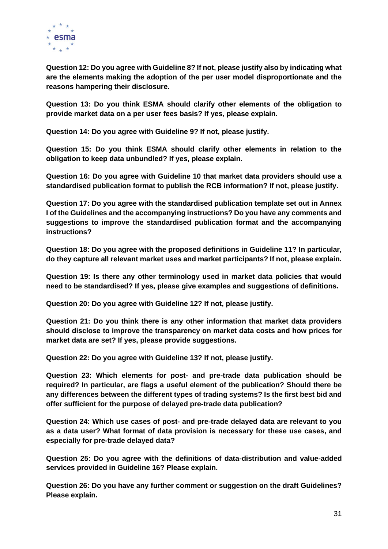

**Question 12: Do you agree with Guideline 8? If not, please justify also by indicating what are the elements making the adoption of the per user model disproportionate and the reasons hampering their disclosure.** 

**Question 13: Do you think ESMA should clarify other elements of the obligation to provide market data on a per user fees basis? If yes, please explain.**

**Question 14: Do you agree with Guideline 9? If not, please justify.** 

**Question 15: Do you think ESMA should clarify other elements in relation to the obligation to keep data unbundled? If yes, please explain.**

**Question 16: Do you agree with Guideline 10 that market data providers should use a standardised publication format to publish the RCB information? If not, please justify.** 

**Question 17: Do you agree with the standardised publication template set out in Annex I of the Guidelines and the accompanying instructions? Do you have any comments and suggestions to improve the standardised publication format and the accompanying instructions?**

**Question 18: Do you agree with the proposed definitions in Guideline 11? In particular, do they capture all relevant market uses and market participants? If not, please explain.**

**Question 19: Is there any other terminology used in market data policies that would need to be standardised? If yes, please give examples and suggestions of definitions.**

**Question 20: Do you agree with Guideline 12? If not, please justify.**

**Question 21: Do you think there is any other information that market data providers should disclose to improve the transparency on market data costs and how prices for market data are set? If yes, please provide suggestions.**

**Question 22: Do you agree with Guideline 13? If not, please justify.**

**Question 23: Which elements for post- and pre-trade data publication should be required? In particular, are flags a useful element of the publication? Should there be any differences between the different types of trading systems? Is the first best bid and offer sufficient for the purpose of delayed pre-trade data publication?**

**Question 24: Which use cases of post- and pre-trade delayed data are relevant to you as a data user? What format of data provision is necessary for these use cases, and especially for pre-trade delayed data?** 

**Question 25: Do you agree with the definitions of data-distribution and value-added services provided in Guideline 16? Please explain.**

**Question 26: Do you have any further comment or suggestion on the draft Guidelines? Please explain.**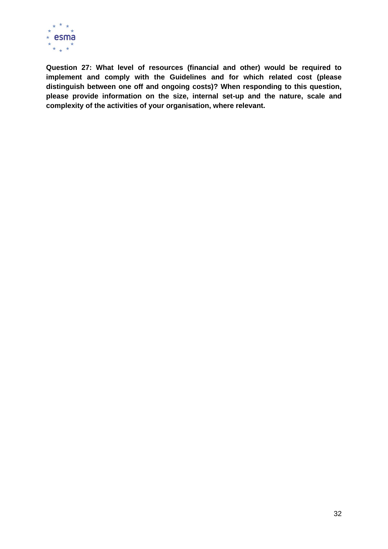

**Question 27: What level of resources (financial and other) would be required to implement and comply with the Guidelines and for which related cost (please distinguish between one off and ongoing costs)? When responding to this question, please provide information on the size, internal set-up and the nature, scale and complexity of the activities of your organisation, where relevant.**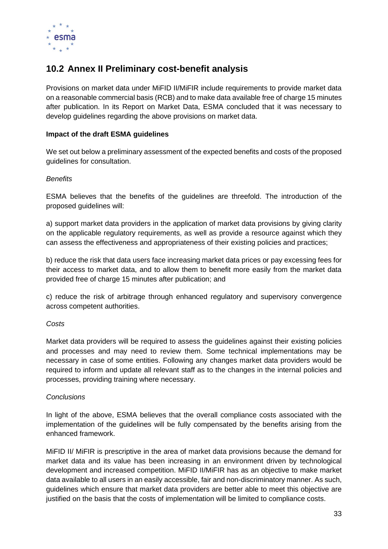

## <span id="page-32-0"></span>**10.2 Annex II Preliminary cost-benefit analysis**

Provisions on market data under MiFID II/MiFIR include requirements to provide market data on a reasonable commercial basis (RCB) and to make data available free of charge 15 minutes after publication. In its Report on Market Data, ESMA concluded that it was necessary to develop guidelines regarding the above provisions on market data.

#### **Impact of the draft ESMA guidelines**

We set out below a preliminary assessment of the expected benefits and costs of the proposed guidelines for consultation.

#### *Benefits*

ESMA believes that the benefits of the guidelines are threefold. The introduction of the proposed guidelines will:

a) support market data providers in the application of market data provisions by giving clarity on the applicable regulatory requirements, as well as provide a resource against which they can assess the effectiveness and appropriateness of their existing policies and practices;

b) reduce the risk that data users face increasing market data prices or pay excessing fees for their access to market data, and to allow them to benefit more easily from the market data provided free of charge 15 minutes after publication; and

c) reduce the risk of arbitrage through enhanced regulatory and supervisory convergence across competent authorities.

#### *Costs*

Market data providers will be required to assess the guidelines against their existing policies and processes and may need to review them. Some technical implementations may be necessary in case of some entities. Following any changes market data providers would be required to inform and update all relevant staff as to the changes in the internal policies and processes, providing training where necessary.

#### *Conclusions*

In light of the above, ESMA believes that the overall compliance costs associated with the implementation of the guidelines will be fully compensated by the benefits arising from the enhanced framework.

MiFID II/ MiFIR is prescriptive in the area of market data provisions because the demand for market data and its value has been increasing in an environment driven by technological development and increased competition. MiFID II/MiFIR has as an objective to make market data available to all users in an easily accessible, fair and non-discriminatory manner. As such, guidelines which ensure that market data providers are better able to meet this objective are justified on the basis that the costs of implementation will be limited to compliance costs.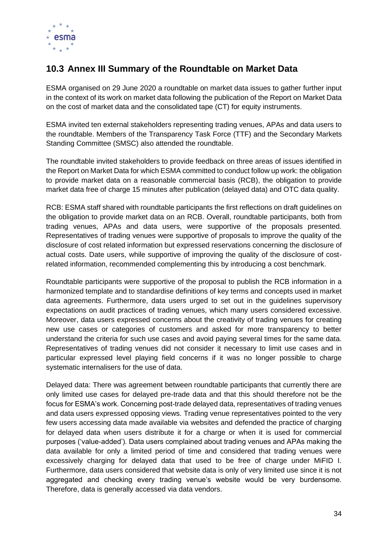

# <span id="page-33-0"></span>**10.3 Annex III Summary of the Roundtable on Market Data**

ESMA organised on 29 June 2020 a roundtable on market data issues to gather further input in the context of its work on market data following the publication of the Report on Market Data on the cost of market data and the consolidated tape (CT) for equity instruments.

ESMA invited ten external stakeholders representing trading venues, APAs and data users to the roundtable. Members of the Transparency Task Force (TTF) and the Secondary Markets Standing Committee (SMSC) also attended the roundtable.

The roundtable invited stakeholders to provide feedback on three areas of issues identified in the Report on Market Data for which ESMA committed to conduct follow up work: the obligation to provide market data on a reasonable commercial basis (RCB), the obligation to provide market data free of charge 15 minutes after publication (delayed data) and OTC data quality.

RCB: ESMA staff shared with roundtable participants the first reflections on draft guidelines on the obligation to provide market data on an RCB. Overall, roundtable participants, both from trading venues, APAs and data users, were supportive of the proposals presented. Representatives of trading venues were supportive of proposals to improve the quality of the disclosure of cost related information but expressed reservations concerning the disclosure of actual costs. Date users, while supportive of improving the quality of the disclosure of costrelated information, recommended complementing this by introducing a cost benchmark.

Roundtable participants were supportive of the proposal to publish the RCB information in a harmonized template and to standardise definitions of key terms and concepts used in market data agreements. Furthermore, data users urged to set out in the guidelines supervisory expectations on audit practices of trading venues, which many users considered excessive. Moreover, data users expressed concerns about the creativity of trading venues for creating new use cases or categories of customers and asked for more transparency to better understand the criteria for such use cases and avoid paying several times for the same data. Representatives of trading venues did not consider it necessary to limit use cases and in particular expressed level playing field concerns if it was no longer possible to charge systematic internalisers for the use of data.

Delayed data: There was agreement between roundtable participants that currently there are only limited use cases for delayed pre-trade data and that this should therefore not be the focus for ESMA's work. Concerning post-trade delayed data, representatives of trading venues and data users expressed opposing views. Trading venue representatives pointed to the very few users accessing data made available via websites and defended the practice of charging for delayed data when users distribute it for a charge or when it is used for commercial purposes ('value-added'). Data users complained about trading venues and APAs making the data available for only a limited period of time and considered that trading venues were excessively charging for delayed data that used to be free of charge under MiFID I. Furthermore, data users considered that website data is only of very limited use since it is not aggregated and checking every trading venue's website would be very burdensome. Therefore, data is generally accessed via data vendors.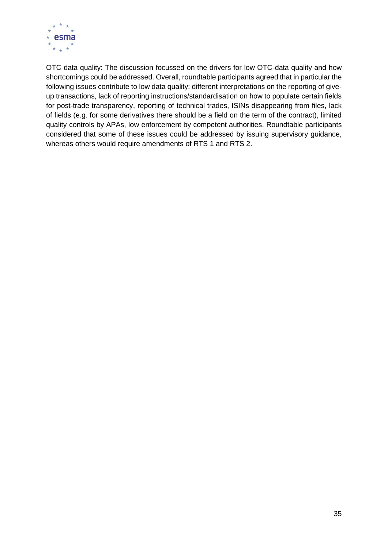

OTC data quality: The discussion focussed on the drivers for low OTC-data quality and how shortcomings could be addressed. Overall, roundtable participants agreed that in particular the following issues contribute to low data quality: different interpretations on the reporting of giveup transactions, lack of reporting instructions/standardisation on how to populate certain fields for post-trade transparency, reporting of technical trades, ISINs disappearing from files, lack of fields (e.g. for some derivatives there should be a field on the term of the contract), limited quality controls by APAs, low enforcement by competent authorities. Roundtable participants considered that some of these issues could be addressed by issuing supervisory guidance, whereas others would require amendments of RTS 1 and RTS 2.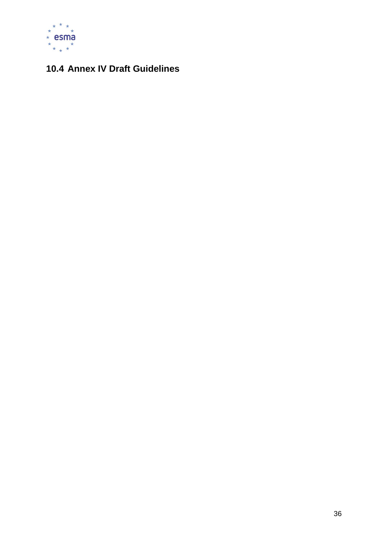

# <span id="page-35-0"></span>**10.4 Annex IV Draft Guidelines**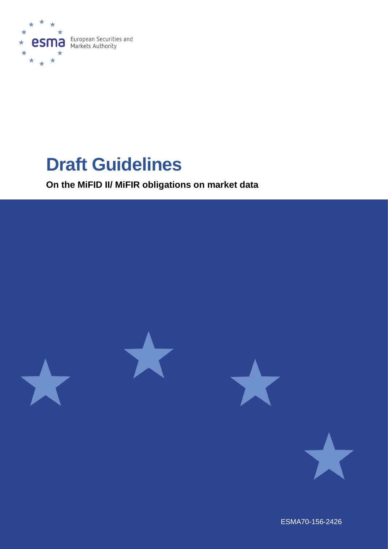

# **Draft Guidelines**

**On the MiFID II/ MiFIR obligations on market data** 



ESMA70-156-2426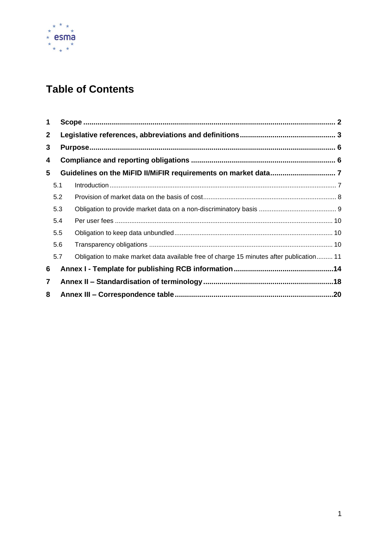

# **Table of Contents**

| 1              |     |                                                                                         |  |  |
|----------------|-----|-----------------------------------------------------------------------------------------|--|--|
| $\mathbf{2}$   |     |                                                                                         |  |  |
| 3              |     |                                                                                         |  |  |
| 4              |     |                                                                                         |  |  |
| 5              |     |                                                                                         |  |  |
|                | 5.1 |                                                                                         |  |  |
|                | 5.2 |                                                                                         |  |  |
|                | 5.3 |                                                                                         |  |  |
|                | 5.4 |                                                                                         |  |  |
|                | 5.5 |                                                                                         |  |  |
|                | 5.6 |                                                                                         |  |  |
|                | 5.7 | Obligation to make market data available free of charge 15 minutes after publication 11 |  |  |
| 6              |     |                                                                                         |  |  |
| $\overline{7}$ |     |                                                                                         |  |  |
| 8              |     |                                                                                         |  |  |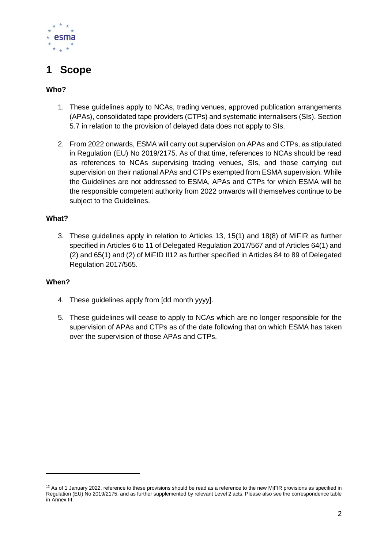

# <span id="page-38-0"></span>**1 Scope**

#### **Who?**

- 1. These guidelines apply to NCAs, trading venues, approved publication arrangements (APAs), consolidated tape providers (CTPs) and systematic internalisers (SIs). Section 5.7 in relation to the provision of delayed data does not apply to SIs.
- 2. From 2022 onwards, ESMA will carry out supervision on APAs and CTPs, as stipulated in Regulation (EU) No 2019/2175. As of that time, references to NCAs should be read as references to NCAs supervising trading venues, SIs, and those carrying out supervision on their national APAs and CTPs exempted from ESMA supervision. While the Guidelines are not addressed to ESMA, APAs and CTPs for which ESMA will be the responsible competent authority from 2022 onwards will themselves continue to be subject to the Guidelines.

#### **What?**

3. These guidelines apply in relation to Articles 13, 15(1) and 18(8) of MiFIR as further specified in Articles 6 to 11 of Delegated Regulation 2017/567 and of Articles 64(1) and (2) and 65(1) and (2) of MiFID II12 as further specified in Articles 84 to 89 of Delegated Regulation 2017/565.

#### **When?**

- 4. These guidelines apply from [dd month yyyy].
- 5. These guidelines will cease to apply to NCAs which are no longer responsible for the supervision of APAs and CTPs as of the date following that on which ESMA has taken over the supervision of those APAs and CTPs.

 $12$  As of 1 January 2022, reference to these provisions should be read as a reference to the new MiFIR provisions as specified in Regulation (EU) No 2019/2175, and as further supplemented by relevant Level 2 acts. Please also see the correspondence table in Annex III.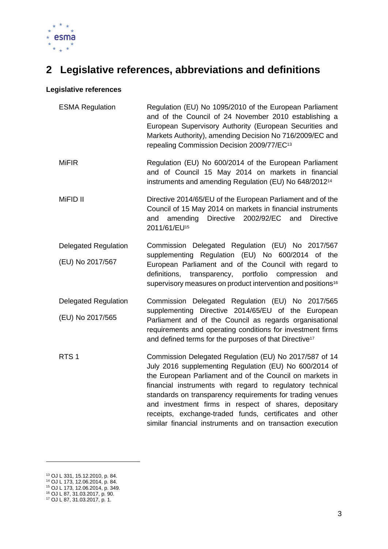

# <span id="page-39-0"></span>**2 Legislative references, abbreviations and definitions**

#### **Legislative references**

| <b>ESMA Regulation</b>      | Regulation (EU) No 1095/2010 of the European Parliament<br>and of the Council of 24 November 2010 establishing a<br>European Supervisory Authority (European Securities and<br>Markets Authority), amending Decision No 716/2009/EC and<br>repealing Commission Decision 2009/77/EC <sup>13</sup>                                                                                                                                                                                        |  |  |
|-----------------------------|------------------------------------------------------------------------------------------------------------------------------------------------------------------------------------------------------------------------------------------------------------------------------------------------------------------------------------------------------------------------------------------------------------------------------------------------------------------------------------------|--|--|
| <b>MiFIR</b>                | Regulation (EU) No 600/2014 of the European Parliament<br>and of Council 15 May 2014 on markets in financial<br>instruments and amending Regulation (EU) No 648/2012 <sup>14</sup>                                                                                                                                                                                                                                                                                                       |  |  |
| MiFID II                    | Directive 2014/65/EU of the European Parliament and of the<br>Council of 15 May 2014 on markets in financial instruments<br>amending Directive<br>2002/92/EC<br><b>Directive</b><br>and<br>and<br>2011/61/EU <sup>15</sup>                                                                                                                                                                                                                                                               |  |  |
| <b>Delegated Regulation</b> | Commission Delegated Regulation (EU) No 2017/567<br>supplementing Regulation (EU) No 600/2014 of the<br>European Parliament and of the Council with regard to<br>transparency, portfolio<br>definitions,<br>compression<br>and<br>supervisory measures on product intervention and positions <sup>16</sup>                                                                                                                                                                               |  |  |
| (EU) No 2017/567            |                                                                                                                                                                                                                                                                                                                                                                                                                                                                                          |  |  |
| <b>Delegated Regulation</b> | Commission Delegated Regulation (EU) No 2017/565<br>supplementing Directive 2014/65/EU of the European<br>Parliament and of the Council as regards organisational<br>requirements and operating conditions for investment firms<br>and defined terms for the purposes of that Directive <sup>17</sup>                                                                                                                                                                                    |  |  |
| (EU) No 2017/565            |                                                                                                                                                                                                                                                                                                                                                                                                                                                                                          |  |  |
| RTS <sub>1</sub>            | Commission Delegated Regulation (EU) No 2017/587 of 14<br>July 2016 supplementing Regulation (EU) No 600/2014 of<br>the European Parliament and of the Council on markets in<br>financial instruments with regard to regulatory technical<br>standards on transparency requirements for trading venues<br>and investment firms in respect of shares, depositary<br>receipts, exchange-traded funds, certificates and other<br>similar financial instruments and on transaction execution |  |  |

<sup>13</sup> OJ L 331, 15.12.2010, p. 84.

<sup>14</sup> OJ L 173, 12.06.2014, p. 84.

<sup>15</sup> OJ L 173, 12.06.2014, p. 349.

<sup>16</sup> OJ L 87, 31.03.2017, p. 90. <sup>17</sup> OJ L 87, 31.03.2017, p. 1.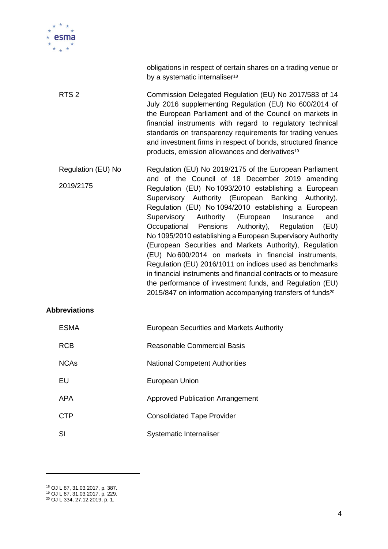

obligations in respect of certain shares on a trading venue or by a systematic internaliser<sup>18</sup> RTS 2 Commission Delegated Regulation (EU) No 2017/583 of 14 July 2016 supplementing Regulation (EU) No 600/2014 of the European Parliament and of the Council on markets in financial instruments with regard to regulatory technical standards on transparency requirements for trading venues and investment firms in respect of bonds, structured finance products, emission allowances and derivatives<sup>19</sup> Regulation (EU) No 2019/2175 Regulation (EU) No 2019/2175 of the European Parliament and of the Council of 18 December 2019 amending Regulation (EU) No 1093/2010 establishing a European Supervisory Authority (European Banking Authority), Regulation (EU) No 1094/2010 establishing a European Supervisory Authority (European Insurance and Occupational Pensions Authority), Regulation (EU) No 1095/2010 establishing a European Supervisory Authority (European Securities and Markets Authority), Regulation (EU) No 600/2014 on markets in financial instruments, Regulation (EU) 2016/1011 on indices used as benchmarks in financial instruments and financial contracts or to measure the performance of investment funds, and Regulation (EU) 2015/847 on information accompanying transfers of funds<sup>20</sup>

#### **Abbreviations**

| <b>ESMA</b> | European Securities and Markets Authority |
|-------------|-------------------------------------------|
| <b>RCB</b>  | Reasonable Commercial Basis               |
| <b>NCAs</b> | <b>National Competent Authorities</b>     |
| EU          | European Union                            |
| APA         | <b>Approved Publication Arrangement</b>   |
| <b>CTP</b>  | <b>Consolidated Tape Provider</b>         |
| SI          | Systematic Internaliser                   |

<sup>18</sup> OJ L 87, 31.03.2017, p. 387.

<sup>19</sup> OJ L 87, 31.03.2017, p. 229.

<sup>20</sup> OJ L 334, 27.12.2019, p. 1.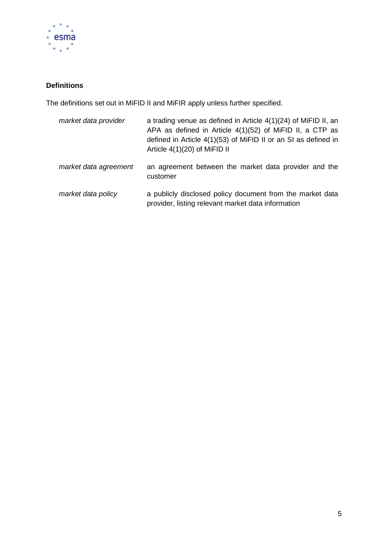

## **Definitions**

The definitions set out in MiFID II and MiFIR apply unless further specified.

| market data provider  | a trading venue as defined in Article $4(1)(24)$ of MiFID II, an<br>APA as defined in Article 4(1)(52) of MiFID II, a CTP as<br>defined in Article 4(1)(53) of MiFID II or an SI as defined in<br>Article $4(1)(20)$ of MiFID II |
|-----------------------|----------------------------------------------------------------------------------------------------------------------------------------------------------------------------------------------------------------------------------|
| market data agreement | an agreement between the market data provider and the<br>customer                                                                                                                                                                |
| market data policy    | a publicly disclosed policy document from the market data<br>provider, listing relevant market data information                                                                                                                  |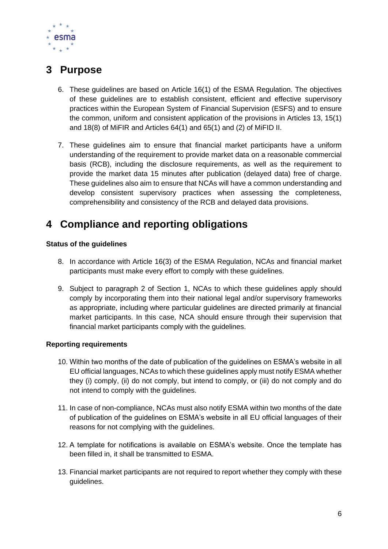

# <span id="page-42-0"></span>**3 Purpose**

- 6. These guidelines are based on Article 16(1) of the ESMA Regulation. The objectives of these guidelines are to establish consistent, efficient and effective supervisory practices within the European System of Financial Supervision (ESFS) and to ensure the common, uniform and consistent application of the provisions in Articles 13, 15(1) and 18(8) of MiFIR and Articles 64(1) and 65(1) and (2) of MiFID II.
- 7. These guidelines aim to ensure that financial market participants have a uniform understanding of the requirement to provide market data on a reasonable commercial basis (RCB), including the disclosure requirements, as well as the requirement to provide the market data 15 minutes after publication (delayed data) free of charge. These guidelines also aim to ensure that NCAs will have a common understanding and develop consistent supervisory practices when assessing the completeness, comprehensibility and consistency of the RCB and delayed data provisions.

# <span id="page-42-1"></span>**4 Compliance and reporting obligations**

#### **Status of the guidelines**

- 8. In accordance with Article 16(3) of the ESMA Regulation, NCAs and financial market participants must make every effort to comply with these guidelines.
- 9. Subject to paragraph 2 of Section 1, NCAs to which these guidelines apply should comply by incorporating them into their national legal and/or supervisory frameworks as appropriate, including where particular guidelines are directed primarily at financial market participants. In this case, NCA should ensure through their supervision that financial market participants comply with the guidelines.

#### **Reporting requirements**

- 10. Within two months of the date of publication of the guidelines on ESMA's website in all EU official languages, NCAs to which these guidelines apply must notify ESMA whether they (i) comply, (ii) do not comply, but intend to comply, or (iii) do not comply and do not intend to comply with the guidelines.
- 11. In case of non-compliance, NCAs must also notify ESMA within two months of the date of publication of the guidelines on ESMA's website in all EU official languages of their reasons for not complying with the guidelines.
- 12. A template for notifications is available on ESMA's website. Once the template has been filled in, it shall be transmitted to ESMA.
- 13. Financial market participants are not required to report whether they comply with these guidelines.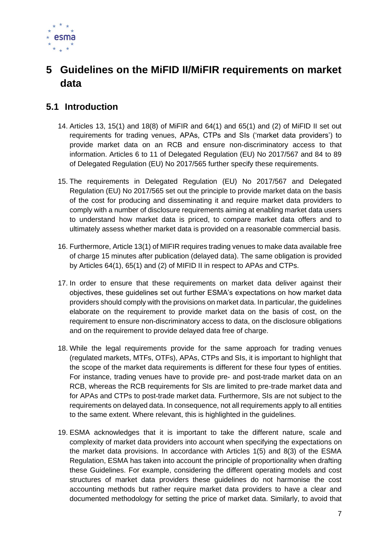

# <span id="page-43-0"></span>**5 Guidelines on the MiFID II/MiFIR requirements on market data**

## <span id="page-43-1"></span>**5.1 Introduction**

- 14. Articles 13, 15(1) and 18(8) of MiFIR and 64(1) and 65(1) and (2) of MiFID II set out requirements for trading venues, APAs, CTPs and SIs ('market data providers') to provide market data on an RCB and ensure non-discriminatory access to that information. Articles 6 to 11 of Delegated Regulation (EU) No 2017/567 and 84 to 89 of Delegated Regulation (EU) No 2017/565 further specify these requirements.
- 15. The requirements in Delegated Regulation (EU) No 2017/567 and Delegated Regulation (EU) No 2017/565 set out the principle to provide market data on the basis of the cost for producing and disseminating it and require market data providers to comply with a number of disclosure requirements aiming at enabling market data users to understand how market data is priced, to compare market data offers and to ultimately assess whether market data is provided on a reasonable commercial basis.
- 16. Furthermore, Article 13(1) of MIFIR requires trading venues to make data available free of charge 15 minutes after publication (delayed data). The same obligation is provided by Articles 64(1), 65(1) and (2) of MIFID II in respect to APAs and CTPs.
- 17. In order to ensure that these requirements on market data deliver against their objectives, these guidelines set out further ESMA's expectations on how market data providers should comply with the provisions on market data. In particular, the guidelines elaborate on the requirement to provide market data on the basis of cost, on the requirement to ensure non-discriminatory access to data, on the disclosure obligations and on the requirement to provide delayed data free of charge.
- 18. While the legal requirements provide for the same approach for trading venues (regulated markets, MTFs, OTFs), APAs, CTPs and SIs, it is important to highlight that the scope of the market data requirements is different for these four types of entities. For instance, trading venues have to provide pre- and post-trade market data on an RCB, whereas the RCB requirements for SIs are limited to pre-trade market data and for APAs and CTPs to post-trade market data. Furthermore, SIs are not subject to the requirements on delayed data. In consequence, not all requirements apply to all entities to the same extent. Where relevant, this is highlighted in the guidelines.
- 19. ESMA acknowledges that it is important to take the different nature, scale and complexity of market data providers into account when specifying the expectations on the market data provisions. In accordance with Articles 1(5) and 8(3) of the ESMA Regulation, ESMA has taken into account the principle of proportionality when drafting these Guidelines. For example, considering the different operating models and cost structures of market data providers these guidelines do not harmonise the cost accounting methods but rather require market data providers to have a clear and documented methodology for setting the price of market data. Similarly, to avoid that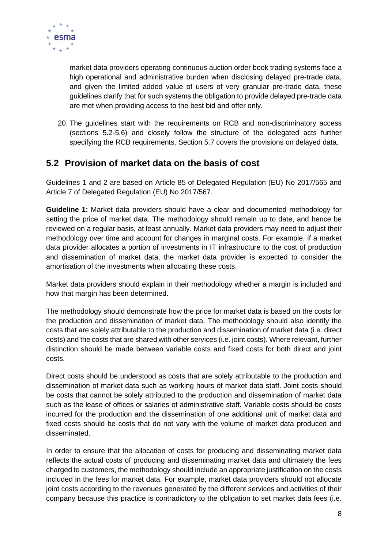

market data providers operating continuous auction order book trading systems face a high operational and administrative burden when disclosing delayed pre-trade data, and given the limited added value of users of very granular pre-trade data, these guidelines clarify that for such systems the obligation to provide delayed pre-trade data are met when providing access to the best bid and offer only.

20. The guidelines start with the requirements on RCB and non-discriminatory access (sections 5.2-5.6) and closely follow the structure of the delegated acts further specifying the RCB requirements. Section 5.7 covers the provisions on delayed data.

## <span id="page-44-0"></span>**5.2 Provision of market data on the basis of cost**

Guidelines 1 and 2 are based on Article 85 of Delegated Regulation (EU) No 2017/565 and Article 7 of Delegated Regulation (EU) No 2017/567.

**Guideline 1:** Market data providers should have a clear and documented methodology for setting the price of market data. The methodology should remain up to date, and hence be reviewed on a regular basis, at least annually. Market data providers may need to adjust their methodology over time and account for changes in marginal costs. For example, if a market data provider allocates a portion of investments in IT infrastructure to the cost of production and dissemination of market data, the market data provider is expected to consider the amortisation of the investments when allocating these costs.

Market data providers should explain in their methodology whether a margin is included and how that margin has been determined.

The methodology should demonstrate how the price for market data is based on the costs for the production and dissemination of market data. The methodology should also identify the costs that are solely attributable to the production and dissemination of market data (i.e. direct costs) and the costs that are shared with other services (i.e. joint costs). Where relevant, further distinction should be made between variable costs and fixed costs for both direct and joint costs.

Direct costs should be understood as costs that are solely attributable to the production and dissemination of market data such as working hours of market data staff. Joint costs should be costs that cannot be solely attributed to the production and dissemination of market data such as the lease of offices or salaries of administrative staff. Variable costs should be costs incurred for the production and the dissemination of one additional unit of market data and fixed costs should be costs that do not vary with the volume of market data produced and disseminated.

In order to ensure that the allocation of costs for producing and disseminating market data reflects the actual costs of producing and disseminating market data and ultimately the fees charged to customers, the methodology should include an appropriate justification on the costs included in the fees for market data. For example, market data providers should not allocate joint costs according to the revenues generated by the different services and activities of their company because this practice is contradictory to the obligation to set market data fees (i.e.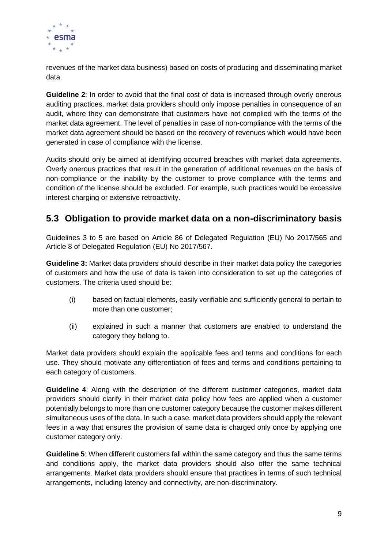

revenues of the market data business) based on costs of producing and disseminating market data.

**Guideline 2**: In order to avoid that the final cost of data is increased through overly onerous auditing practices, market data providers should only impose penalties in consequence of an audit, where they can demonstrate that customers have not complied with the terms of the market data agreement. The level of penalties in case of non-compliance with the terms of the market data agreement should be based on the recovery of revenues which would have been generated in case of compliance with the license.

Audits should only be aimed at identifying occurred breaches with market data agreements. Overly onerous practices that result in the generation of additional revenues on the basis of non-compliance or the inability by the customer to prove compliance with the terms and condition of the license should be excluded. For example, such practices would be excessive interest charging or extensive retroactivity.

## <span id="page-45-0"></span>**5.3 Obligation to provide market data on a non-discriminatory basis**

Guidelines 3 to 5 are based on Article 86 of Delegated Regulation (EU) No 2017/565 and Article 8 of Delegated Regulation (EU) No 2017/567.

**Guideline 3:** Market data providers should describe in their market data policy the categories of customers and how the use of data is taken into consideration to set up the categories of customers. The criteria used should be:

- (i) based on factual elements, easily verifiable and sufficiently general to pertain to more than one customer;
- (ii) explained in such a manner that customers are enabled to understand the category they belong to.

Market data providers should explain the applicable fees and terms and conditions for each use. They should motivate any differentiation of fees and terms and conditions pertaining to each category of customers.

**Guideline 4**: Along with the description of the different customer categories, market data providers should clarify in their market data policy how fees are applied when a customer potentially belongs to more than one customer category because the customer makes different simultaneous uses of the data. In such a case, market data providers should apply the relevant fees in a way that ensures the provision of same data is charged only once by applying one customer category only.

**Guideline 5**: When different customers fall within the same category and thus the same terms and conditions apply, the market data providers should also offer the same technical arrangements. Market data providers should ensure that practices in terms of such technical arrangements, including latency and connectivity, are non-discriminatory.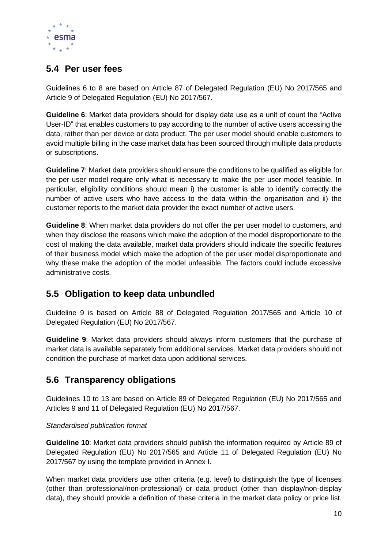

# <span id="page-46-0"></span>**5.4 Per user fees**

Guidelines 6 to 8 are based on Article 87 of Delegated Regulation (EU) No 2017/565 and Article 9 of Delegated Regulation (EU) No 2017/567.

**Guideline 6**: Market data providers should for display data use as a unit of count the "Active User-ID" that enables customers to pay according to the number of active users accessing the data, rather than per device or data product. The per user model should enable customers to avoid multiple billing in the case market data has been sourced through multiple data products or subscriptions.

**Guideline 7**: Market data providers should ensure the conditions to be qualified as eligible for the per user model require only what is necessary to make the per user model feasible. In particular, eligibility conditions should mean i) the customer is able to identify correctly the number of active users who have access to the data within the organisation and ii) the customer reports to the market data provider the exact number of active users.

**Guideline 8**: When market data providers do not offer the per user model to customers, and when they disclose the reasons which make the adoption of the model disproportionate to the cost of making the data available, market data providers should indicate the specific features of their business model which make the adoption of the per user model disproportionate and why these make the adoption of the model unfeasible. The factors could include excessive administrative costs.

# <span id="page-46-1"></span>**5.5 Obligation to keep data unbundled**

Guideline 9 is based on Article 88 of Delegated Regulation 2017/565 and Article 10 of Delegated Regulation (EU) No 2017/567.

**Guideline 9**: Market data providers should always inform customers that the purchase of market data is available separately from additional services. Market data providers should not condition the purchase of market data upon additional services.

## <span id="page-46-2"></span>**5.6 Transparency obligations**

Guidelines 10 to 13 are based on Article 89 of Delegated Regulation (EU) No 2017/565 and Articles 9 and 11 of Delegated Regulation (EU) No 2017/567.

#### *Standardised publication format*

**Guideline 10**: Market data providers should publish the information required by Article 89 of Delegated Regulation (EU) No 2017/565 and Article 11 of Delegated Regulation (EU) No 2017/567 by using the template provided in Annex I.

When market data providers use other criteria (e.g. level) to distinguish the type of licenses (other than professional/non-professional) or data product (other than display/non-display data), they should provide a definition of these criteria in the market data policy or price list.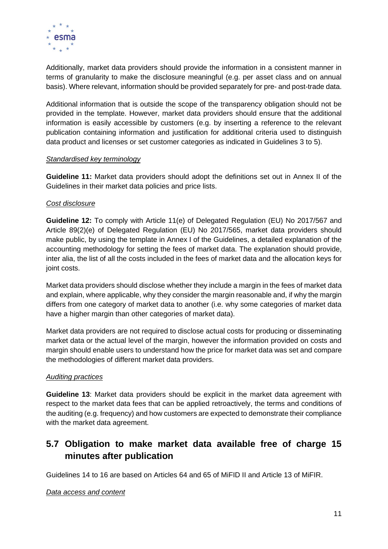

Additionally, market data providers should provide the information in a consistent manner in terms of granularity to make the disclosure meaningful (e.g. per asset class and on annual basis). Where relevant, information should be provided separately for pre- and post-trade data.

Additional information that is outside the scope of the transparency obligation should not be provided in the template. However, market data providers should ensure that the additional information is easily accessible by customers (e.g. by inserting a reference to the relevant publication containing information and justification for additional criteria used to distinguish data product and licenses or set customer categories as indicated in Guidelines 3 to 5).

#### *Standardised key terminology*

**Guideline 11:** Market data providers should adopt the definitions set out in Annex II of the Guidelines in their market data policies and price lists.

#### *Cost disclosure*

**Guideline 12:** To comply with Article 11(e) of Delegated Regulation (EU) No 2017/567 and Article 89(2)(e) of Delegated Regulation (EU) No 2017/565, market data providers should make public, by using the template in Annex I of the Guidelines, a detailed explanation of the accounting methodology for setting the fees of market data. The explanation should provide, inter alia, the list of all the costs included in the fees of market data and the allocation keys for joint costs.

Market data providers should disclose whether they include a margin in the fees of market data and explain, where applicable, why they consider the margin reasonable and, if why the margin differs from one category of market data to another (i.e. why some categories of market data have a higher margin than other categories of market data).

Market data providers are not required to disclose actual costs for producing or disseminating market data or the actual level of the margin, however the information provided on costs and margin should enable users to understand how the price for market data was set and compare the methodologies of different market data providers.

#### *Auditing practices*

**Guideline 13**: Market data providers should be explicit in the market data agreement with respect to the market data fees that can be applied retroactively, the terms and conditions of the auditing (e.g. frequency) and how customers are expected to demonstrate their compliance with the market data agreement.

# <span id="page-47-0"></span>**5.7 Obligation to make market data available free of charge 15 minutes after publication**

Guidelines 14 to 16 are based on Articles 64 and 65 of MiFID II and Article 13 of MiFIR.

#### *Data access and content*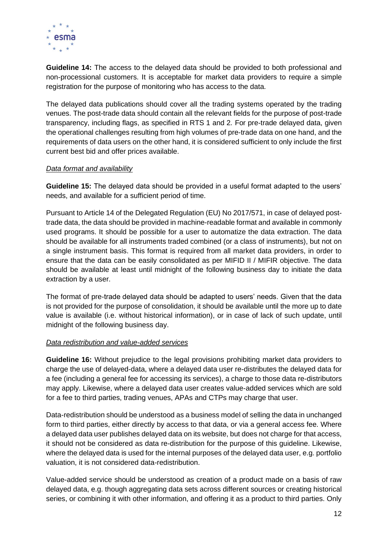

**Guideline 14:** The access to the delayed data should be provided to both professional and non-processional customers. It is acceptable for market data providers to require a simple registration for the purpose of monitoring who has access to the data.

The delayed data publications should cover all the trading systems operated by the trading venues. The post-trade data should contain all the relevant fields for the purpose of post-trade transparency, including flags, as specified in RTS 1 and 2*.* For pre-trade delayed data, given the operational challenges resulting from high volumes of pre-trade data on one hand, and the requirements of data users on the other hand, it is considered sufficient to only include the first current best bid and offer prices available.

#### *Data format and availability*

**Guideline 15:** The delayed data should be provided in a useful format adapted to the users' needs, and available for a sufficient period of time.

Pursuant to Article 14 of the Delegated Regulation (EU) No 2017/571, in case of delayed posttrade data, the data should be provided in machine-readable format and available in commonly used programs. It should be possible for a user to automatize the data extraction. The data should be available for all instruments traded combined (or a class of instruments), but not on a single instrument basis. This format is required from all market data providers, in order to ensure that the data can be easily consolidated as per MIFID II / MIFIR objective. The data should be available at least until midnight of the following business day to initiate the data extraction by a user.

The format of pre-trade delayed data should be adapted to users' needs. Given that the data is not provided for the purpose of consolidation, it should be available until the more up to date value is available (i.e. without historical information), or in case of lack of such update, until midnight of the following business day.

#### *Data redistribution and value-added services*

**Guideline 16:** Without prejudice to the legal provisions prohibiting market data providers to charge the use of delayed-data, where a delayed data user re-distributes the delayed data for a fee (including a general fee for accessing its services), a charge to those data re-distributors may apply. Likewise, where a delayed data user creates value-added services which are sold for a fee to third parties, trading venues, APAs and CTPs may charge that user.

Data-redistribution should be understood as a business model of selling the data in unchanged form to third parties, either directly by access to that data, or via a general access fee. Where a delayed data user publishes delayed data on its website, but does not charge for that access, it should not be considered as data re-distribution for the purpose of this guideline. Likewise, where the delayed data is used for the internal purposes of the delayed data user, e.g. portfolio valuation, it is not considered data-redistribution.

Value-added service should be understood as creation of a product made on a basis of raw delayed data, e.g. though aggregating data sets across different sources or creating historical series, or combining it with other information, and offering it as a product to third parties. Only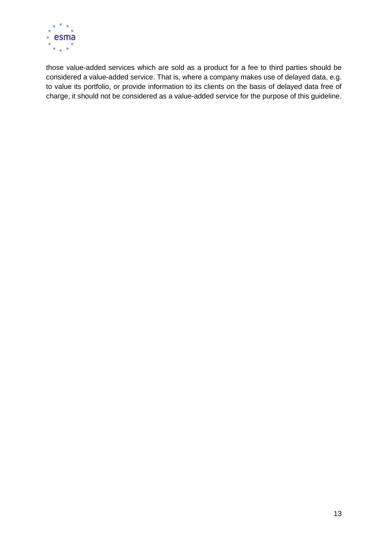

those value-added services which are sold as a product for a fee to third parties should be considered a value-added service. That is, where a company makes use of delayed data, e.g. to value its portfolio, or provide information to its clients on the basis of delayed data free of charge, it should not be considered as a value-added service for the purpose of this guideline.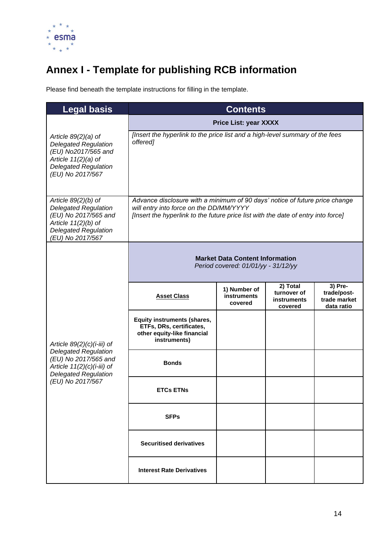

# <span id="page-50-0"></span>**Annex I - Template for publishing RCB information**

Please find beneath the template instructions for filling in the template.

| <b>Legal basis</b>                                                                                                                                       | <b>Contents</b>                                                                                                                                                                                             |                                               |                                                   |                                                      |
|----------------------------------------------------------------------------------------------------------------------------------------------------------|-------------------------------------------------------------------------------------------------------------------------------------------------------------------------------------------------------------|-----------------------------------------------|---------------------------------------------------|------------------------------------------------------|
|                                                                                                                                                          | <b>Price List: year XXXX</b>                                                                                                                                                                                |                                               |                                                   |                                                      |
| Article $89(2)(a)$ of<br><b>Delegated Regulation</b><br>(EU) No2017/565 and<br>Article $11(2)(a)$ of<br><b>Delegated Regulation</b><br>(EU) No 2017/567  | [Insert the hyperlink to the price list and a high-level summary of the fees<br>offered]                                                                                                                    |                                               |                                                   |                                                      |
| Article $89(2)(b)$ of<br><b>Delegated Regulation</b><br>(EU) No 2017/565 and<br>Article $11(2)(b)$ of<br><b>Delegated Regulation</b><br>(EU) No 2017/567 | Advance disclosure with a minimum of 90 days' notice of future price change<br>will entry into force on the DD/MM/YYYY<br>[Insert the hyperlink to the future price list with the date of entry into force] |                                               |                                                   |                                                      |
|                                                                                                                                                          | <b>Market Data Content Information</b><br>Period covered: 01/01/yy - 31/12/yy                                                                                                                               |                                               |                                                   |                                                      |
|                                                                                                                                                          | <b>Asset Class</b>                                                                                                                                                                                          | 1) Number of<br><b>instruments</b><br>covered | 2) Total<br>turnover of<br>instruments<br>covered | 3) Pre-<br>trade/post-<br>trade market<br>data ratio |
| Article $89(2)(c)(i-iii)$ of                                                                                                                             | <b>Equity instruments (shares,</b><br>ETFs, DRs, certificates,<br>other equity-like financial<br>instruments)                                                                                               |                                               |                                                   |                                                      |
| <b>Delegated Regulation</b><br>(EU) No 2017/565 and<br>Article $11(2)(c)(i-iii)$ of<br><b>Delegated Regulation</b>                                       | <b>Bonds</b>                                                                                                                                                                                                |                                               |                                                   |                                                      |
| (EU) No 2017/567                                                                                                                                         | <b>ETCs ETNs</b>                                                                                                                                                                                            |                                               |                                                   |                                                      |
|                                                                                                                                                          | <b>SFPs</b>                                                                                                                                                                                                 |                                               |                                                   |                                                      |
|                                                                                                                                                          | <b>Securitised derivatives</b>                                                                                                                                                                              |                                               |                                                   |                                                      |
|                                                                                                                                                          | <b>Interest Rate Derivatives</b>                                                                                                                                                                            |                                               |                                                   |                                                      |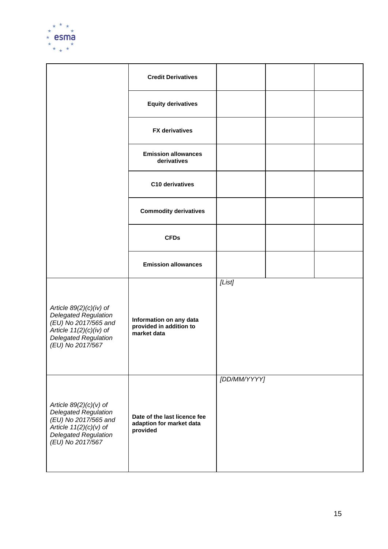

|                                                                                                                                                                  | <b>Credit Derivatives</b>                                            |              |  |
|------------------------------------------------------------------------------------------------------------------------------------------------------------------|----------------------------------------------------------------------|--------------|--|
|                                                                                                                                                                  | <b>Equity derivatives</b>                                            |              |  |
|                                                                                                                                                                  | <b>FX</b> derivatives                                                |              |  |
|                                                                                                                                                                  | <b>Emission allowances</b><br>derivatives                            |              |  |
|                                                                                                                                                                  | C10 derivatives                                                      |              |  |
|                                                                                                                                                                  | <b>Commodity derivatives</b>                                         |              |  |
|                                                                                                                                                                  | <b>CFDs</b>                                                          |              |  |
|                                                                                                                                                                  | <b>Emission allowances</b>                                           |              |  |
| Article $89(2)(c)(iv)$ of<br><b>Delegated Regulation</b><br>(EU) No 2017/565 and<br>Article $11(2)(c)(iv)$ of<br><b>Delegated Regulation</b><br>(EU) No 2017/567 | Information on any data<br>provided in addition to<br>market data    | [List]       |  |
| Article $89(2)(c)(v)$ of<br><b>Delegated Regulation</b><br>(EU) No 2017/565 and<br>Article $11(2)(c)(v)$ of<br><b>Delegated Regulation</b><br>(EU) No 2017/567   | Date of the last licence fee<br>adaption for market data<br>provided | [DD/MM/YYYY] |  |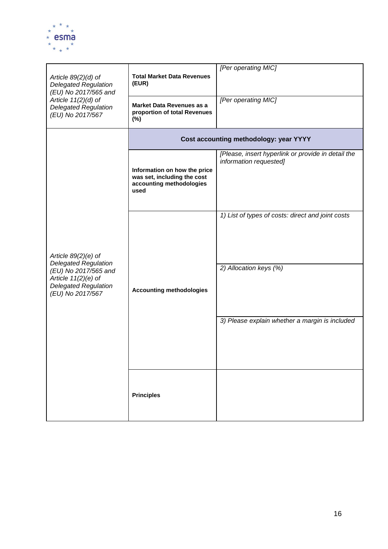

| Article $89(2)(d)$ of<br><b>Delegated Regulation</b><br>(EU) No 2017/565 and<br>Article $11(2)(d)$ of                           | <b>Total Market Data Revenues</b><br>(EUR)                                                      | [Per operating MIC]<br>[Per operating MIC]                                   |  |  |
|---------------------------------------------------------------------------------------------------------------------------------|-------------------------------------------------------------------------------------------------|------------------------------------------------------------------------------|--|--|
| <b>Delegated Regulation</b><br>(EU) No 2017/567                                                                                 | Market Data Revenues as a<br>proportion of total Revenues<br>$(\%)$                             |                                                                              |  |  |
|                                                                                                                                 | Cost accounting methodology: year YYYY                                                          |                                                                              |  |  |
|                                                                                                                                 | Information on how the price<br>was set, including the cost<br>accounting methodologies<br>used | [Please, insert hyperlink or provide in detail the<br>information requested] |  |  |
| Article $89(2)(e)$ of                                                                                                           | <b>Accounting methodologies</b>                                                                 | 1) List of types of costs: direct and joint costs                            |  |  |
| <b>Delegated Regulation</b><br>(EU) No 2017/565 and<br>Article $11(2)(e)$ of<br><b>Delegated Regulation</b><br>(EU) No 2017/567 |                                                                                                 | 2) Allocation keys (%)                                                       |  |  |
|                                                                                                                                 |                                                                                                 | 3) Please explain whether a margin is included                               |  |  |
|                                                                                                                                 | <b>Principles</b>                                                                               |                                                                              |  |  |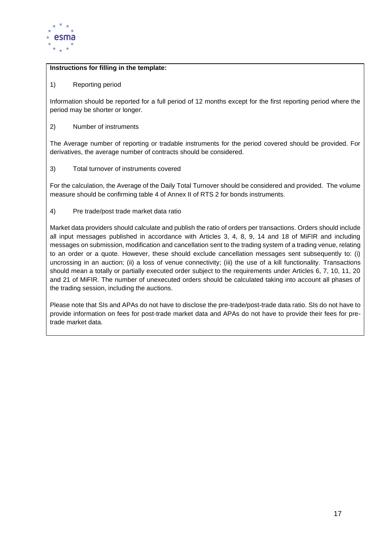

#### **Instructions for filling in the template:**

1) Reporting period

Information should be reported for a full period of 12 months except for the first reporting period where the period may be shorter or longer.

2) Number of instruments

The Average number of reporting or tradable instruments for the period covered should be provided. For derivatives, the average number of contracts should be considered.

3) Total turnover of instruments covered

For the calculation, the Average of the Daily Total Turnover should be considered and provided. The volume measure should be confirming table 4 of Annex II of RTS 2 for bonds instruments.

4) Pre trade/post trade market data ratio

Market data providers should calculate and publish the ratio of orders per transactions. Orders should include all input messages published in accordance with Articles 3, 4, 8, 9, 14 and 18 of MiFIR and including messages on submission, modification and cancellation sent to the trading system of a trading venue, relating to an order or a quote. However, these should exclude cancellation messages sent subsequently to: (i) uncrossing in an auction; (ii) a loss of venue connectivity; (iii) the use of a kill functionality. Transactions should mean a totally or partially executed order subject to the requirements under Articles 6, 7, 10, 11, 20 and 21 of MiFIR. The number of unexecuted orders should be calculated taking into account all phases of the trading session, including the auctions.

Please note that SIs and APAs do not have to disclose the pre-trade/post-trade data ratio. SIs do not have to provide information on fees for post-trade market data and APAs do not have to provide their fees for pretrade market data.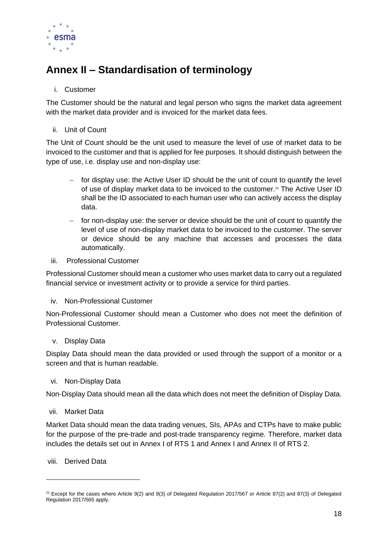

# <span id="page-54-0"></span>**Annex II – Standardisation of terminology**

#### i. Customer

The Customer should be the natural and legal person who signs the market data agreement with the market data provider and is invoiced for the market data fees.

#### ii. Unit of Count

The Unit of Count should be the unit used to measure the level of use of market data to be invoiced to the customer and that is applied for fee purposes. It should distinguish between the type of use, i.e. display use and non-display use:

- − for display use: the Active User ID should be the unit of count to quantify the level of use of display market data to be invoiced to the customer.<sup>21</sup> The Active User ID shall be the ID associated to each human user who can actively access the display data.
- − for non-display use: the server or device should be the unit of count to quantify the level of use of non-display market data to be invoiced to the customer. The server or device should be any machine that accesses and processes the data automatically.

#### iii. Professional Customer

Professional Customer should mean a customer who uses market data to carry out a regulated financial service or investment activity or to provide a service for third parties.

#### iv. Non-Professional Customer

Non-Professional Customer should mean a Customer who does not meet the definition of Professional Customer.

#### v. Display Data

Display Data should mean the data provided or used through the support of a monitor or a screen and that is human readable.

#### vi. Non-Display Data

Non-Display Data should mean all the data which does not meet the definition of Display Data.

#### vii. Market Data

Market Data should mean the data trading venues, SIs, APAs and CTPs have to make public for the purpose of the pre-trade and post-trade transparency regime. Therefore, market data includes the details set out in Annex I of RTS 1 and Annex I and Annex II of RTS 2.

#### viii. Derived Data

 $21$  Except for the cases where Article 9(2) and 9(3) of Delegated Regulation 2017/567 or Article 87(2) and 87(3) of Delegated Regulation 2017/565 apply.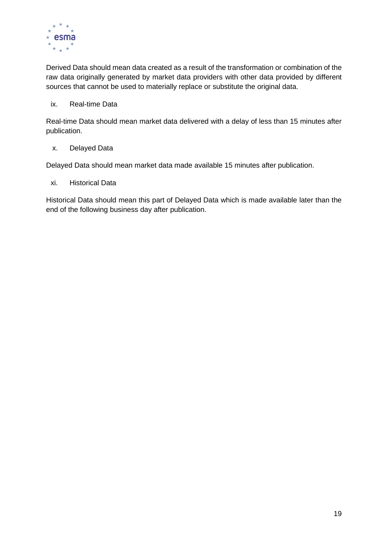

Derived Data should mean data created as a result of the transformation or combination of the raw data originally generated by market data providers with other data provided by different sources that cannot be used to materially replace or substitute the original data.

#### ix. Real-time Data

Real-time Data should mean market data delivered with a delay of less than 15 minutes after publication.

#### x. Delayed Data

Delayed Data should mean market data made available 15 minutes after publication.

xi. Historical Data

Historical Data should mean this part of Delayed Data which is made available later than the end of the following business day after publication.